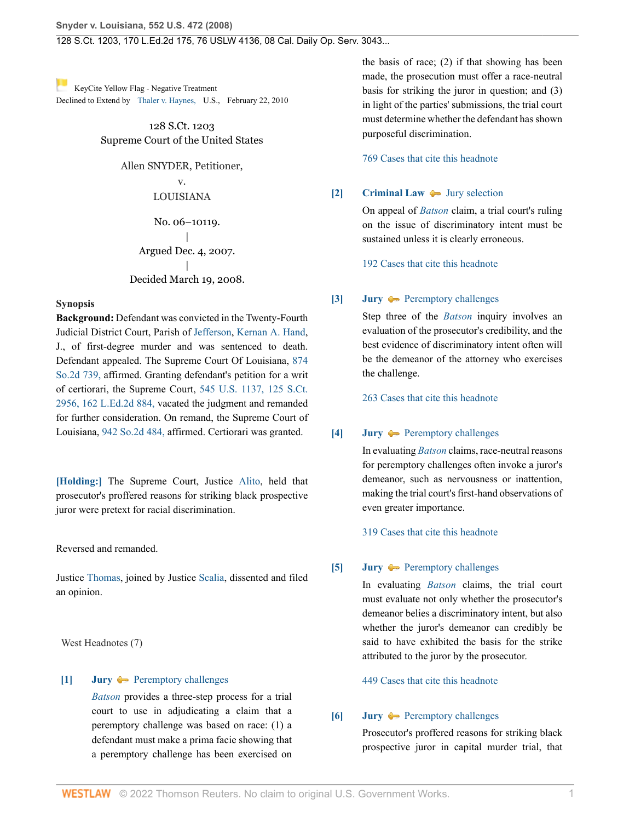**Snyder v. Louisiana, 552 U.S. 472 (2008)**

128 S.Ct. 1203, 170 L.Ed.2d 175, 76 USLW 4136, 08 Cal. Daily Op. Serv. 3043...

[K](https://1.next.westlaw.com/Link/RelatedInformation/Flag?documentGuid=I6718b3721fc311dfa7e0c40c26bf1b92&transitionType=Document&originationContext=docHeaderFlag&Rank=0&ppcid=6d449fd648f441f6acc44b6374a1657c&contextData=(sc.FindAndPrintPortal) )eyCite Yellow Flag - Negative Treatment Declined to Extend by [Thaler v. Haynes,](https://www.westlaw.com/Document/I6718b3721fc311dfa7e0c40c26bf1b92/View/FullText.html?navigationPath=RelatedInfo%2Fv4%2Fkeycite%2Fnav%2F%3Fguid%3DI6718b3721fc311dfa7e0c40c26bf1b92%26ss%3D2015520672%26ds%3D2021396500%26origDocGuid%3DI1e964189f59811dcb595a478de34cd72&listSource=RelatedInfo&list=NegativeCitingReferences&rank=0&ppcid=6d449fd648f441f6acc44b6374a1657c&originationContext=docHeader&transitionType=NegativeTreatment&contextData=%28sc.FindAndPrintPortal%29&VR=3.0&RS=cblt1.0 ) U.S., February 22, 2010

# 128 S.Ct. 1203 Supreme Court of the United States

Allen SNYDER, Petitioner,

# v. LOUISIANA

No. 06–10119. | Argued Dec. 4, 2007. | Decided March 19, 2008.

### **Synopsis**

**Background:** Defendant was convicted in the Twenty-Fourth Judicial District Court, Parish of [Jefferson](http://www.westlaw.com/Link/Document/FullText?findType=h&pubNum=176284&cite=0444188501&originatingDoc=I1e964189f59811dcb595a478de34cd72&refType=RQ&originationContext=document&vr=3.0&rs=cblt1.0&transitionType=DocumentItem&contextData=(sc.FindAndPrintPortal)), [Kernan A. Hand](http://www.westlaw.com/Link/Document/FullText?findType=h&pubNum=176284&cite=0161960001&originatingDoc=I1e964189f59811dcb595a478de34cd72&refType=RQ&originationContext=document&vr=3.0&rs=cblt1.0&transitionType=DocumentItem&contextData=(sc.FindAndPrintPortal)), J., of first-degree murder and was sentenced to death. Defendant appealed. The Supreme Court Of Louisiana, [874](http://www.westlaw.com/Link/Document/FullText?findType=Y&serNum=2004327155&pubNum=735&originatingDoc=I1e964189f59811dcb595a478de34cd72&refType=RP&originationContext=document&vr=3.0&rs=cblt1.0&transitionType=DocumentItem&contextData=(sc.FindAndPrintPortal)) [So.2d 739,](http://www.westlaw.com/Link/Document/FullText?findType=Y&serNum=2004327155&pubNum=735&originatingDoc=I1e964189f59811dcb595a478de34cd72&refType=RP&originationContext=document&vr=3.0&rs=cblt1.0&transitionType=DocumentItem&contextData=(sc.FindAndPrintPortal)) affirmed. Granting defendant's petition for a writ of certiorari, the Supreme Court, [545 U.S. 1137, 125 S.Ct.](http://www.westlaw.com/Link/Document/FullText?findType=Y&serNum=2005201380&pubNum=708&originatingDoc=I1e964189f59811dcb595a478de34cd72&refType=RP&originationContext=document&vr=3.0&rs=cblt1.0&transitionType=DocumentItem&contextData=(sc.FindAndPrintPortal)) [2956, 162 L.Ed.2d 884,](http://www.westlaw.com/Link/Document/FullText?findType=Y&serNum=2005201380&pubNum=708&originatingDoc=I1e964189f59811dcb595a478de34cd72&refType=RP&originationContext=document&vr=3.0&rs=cblt1.0&transitionType=DocumentItem&contextData=(sc.FindAndPrintPortal)) vacated the judgment and remanded for further consideration. On remand, the Supreme Court of Louisiana, [942 So.2d 484,](http://www.westlaw.com/Link/Document/FullText?findType=Y&serNum=2010226191&pubNum=735&originatingDoc=I1e964189f59811dcb595a478de34cd72&refType=RP&originationContext=document&vr=3.0&rs=cblt1.0&transitionType=DocumentItem&contextData=(sc.FindAndPrintPortal)) affirmed. Certiorari was granted.

**[\[Holding:\]](#page-0-0)** The Supreme Court, Justice [Alito,](http://www.westlaw.com/Link/Document/FullText?findType=h&pubNum=176284&cite=0153052401&originatingDoc=I1e964189f59811dcb595a478de34cd72&refType=RQ&originationContext=document&vr=3.0&rs=cblt1.0&transitionType=DocumentItem&contextData=(sc.FindAndPrintPortal)) held that prosecutor's proffered reasons for striking black prospective juror were pretext for racial discrimination.

Reversed and remanded.

Justice [Thomas](http://www.westlaw.com/Link/Document/FullText?findType=h&pubNum=176284&cite=0216654601&originatingDoc=I1e964189f59811dcb595a478de34cd72&refType=RQ&originationContext=document&vr=3.0&rs=cblt1.0&transitionType=DocumentItem&contextData=(sc.FindAndPrintPortal)), joined by Justice [Scalia](http://www.westlaw.com/Link/Document/FullText?findType=h&pubNum=176284&cite=0254763301&originatingDoc=I1e964189f59811dcb595a478de34cd72&refType=RQ&originationContext=document&vr=3.0&rs=cblt1.0&transitionType=DocumentItem&contextData=(sc.FindAndPrintPortal)), dissented and filed an opinion.

West Headnotes (7)

## <span id="page-0-1"></span>**[\[1\]](#page-3-0) [Jury](http://www.westlaw.com/Browse/Home/KeyNumber/230/View.html?docGuid=I1e964189f59811dcb595a478de34cd72&originationContext=document&vr=3.0&rs=cblt1.0&transitionType=DocumentItem&contextData=(sc.FindAndPrintPortal))**  $\rightarrow$  [Peremptory challenges](http://www.westlaw.com/Browse/Home/KeyNumber/230k33(5.15)/View.html?docGuid=I1e964189f59811dcb595a478de34cd72&originationContext=document&vr=3.0&rs=cblt1.0&transitionType=DocumentItem&contextData=(sc.FindAndPrintPortal))

*[Batson](http://www.westlaw.com/Link/Document/FullText?findType=Y&serNum=1986122459&originatingDoc=I1e964189f59811dcb595a478de34cd72&refType=RP&originationContext=document&vr=3.0&rs=cblt1.0&transitionType=DocumentItem&contextData=(sc.FindAndPrintPortal))* provides a three-step process for a trial court to use in adjudicating a claim that a peremptory challenge was based on race: (1) a defendant must make a prima facie showing that a peremptory challenge has been exercised on

the basis of race; (2) if that showing has been made, the prosecution must offer a race-neutral basis for striking the juror in question; and (3) in light of the parties' submissions, the trial court must determine whether the defendant has shown purposeful discrimination.

[769 Cases that cite this headnote](http://www.westlaw.com/Link/RelatedInformation/DocHeadnoteLink?docGuid=I1e964189f59811dcb595a478de34cd72&headnoteId=201552067200120140407015613&originationContext=document&vr=3.0&rs=cblt1.0&transitionType=CitingReferences&contextData=(sc.FindAndPrintPortal))

# <span id="page-0-2"></span>**[\[2\]](#page-3-1) [Criminal Law](http://www.westlaw.com/Browse/Home/KeyNumber/110/View.html?docGuid=I1e964189f59811dcb595a478de34cd72&originationContext=document&vr=3.0&rs=cblt1.0&transitionType=DocumentItem&contextData=(sc.FindAndPrintPortal))**  $\blacktriangleright$  [Jury selection](http://www.westlaw.com/Browse/Home/KeyNumber/110k1158.17/View.html?docGuid=I1e964189f59811dcb595a478de34cd72&originationContext=document&vr=3.0&rs=cblt1.0&transitionType=DocumentItem&contextData=(sc.FindAndPrintPortal))

On appeal of *[Batson](http://www.westlaw.com/Link/Document/FullText?findType=Y&serNum=1986122459&originatingDoc=I1e964189f59811dcb595a478de34cd72&refType=RP&originationContext=document&vr=3.0&rs=cblt1.0&transitionType=DocumentItem&contextData=(sc.FindAndPrintPortal))* claim, a trial court's ruling on the issue of discriminatory intent must be sustained unless it is clearly erroneous.

[192 Cases that cite this headnote](http://www.westlaw.com/Link/RelatedInformation/DocHeadnoteLink?docGuid=I1e964189f59811dcb595a478de34cd72&headnoteId=201552067200220140407015613&originationContext=document&vr=3.0&rs=cblt1.0&transitionType=CitingReferences&contextData=(sc.FindAndPrintPortal))

## <span id="page-0-3"></span>**[\[3\]](#page-3-2) [Jury](http://www.westlaw.com/Browse/Home/KeyNumber/230/View.html?docGuid=I1e964189f59811dcb595a478de34cd72&originationContext=document&vr=3.0&rs=cblt1.0&transitionType=DocumentItem&contextData=(sc.FindAndPrintPortal)) [Peremptory challenges](http://www.westlaw.com/Browse/Home/KeyNumber/230k33(5.15)/View.html?docGuid=I1e964189f59811dcb595a478de34cd72&originationContext=document&vr=3.0&rs=cblt1.0&transitionType=DocumentItem&contextData=(sc.FindAndPrintPortal))**

Step three of the *[Batson](http://www.westlaw.com/Link/Document/FullText?findType=Y&serNum=1986122459&originatingDoc=I1e964189f59811dcb595a478de34cd72&refType=RP&originationContext=document&vr=3.0&rs=cblt1.0&transitionType=DocumentItem&contextData=(sc.FindAndPrintPortal))* inquiry involves an evaluation of the prosecutor's credibility, and the best evidence of discriminatory intent often will be the demeanor of the attorney who exercises the challenge.

[263 Cases that cite this headnote](http://www.westlaw.com/Link/RelatedInformation/DocHeadnoteLink?docGuid=I1e964189f59811dcb595a478de34cd72&headnoteId=201552067200320140407015613&originationContext=document&vr=3.0&rs=cblt1.0&transitionType=CitingReferences&contextData=(sc.FindAndPrintPortal))

# <span id="page-0-4"></span>**[\[4\]](#page-3-3) [Jury](http://www.westlaw.com/Browse/Home/KeyNumber/230/View.html?docGuid=I1e964189f59811dcb595a478de34cd72&originationContext=document&vr=3.0&rs=cblt1.0&transitionType=DocumentItem&contextData=(sc.FindAndPrintPortal)) A** [Peremptory challenges](http://www.westlaw.com/Browse/Home/KeyNumber/230k33(5.15)/View.html?docGuid=I1e964189f59811dcb595a478de34cd72&originationContext=document&vr=3.0&rs=cblt1.0&transitionType=DocumentItem&contextData=(sc.FindAndPrintPortal))

In evaluating *[Batson](http://www.westlaw.com/Link/Document/FullText?findType=Y&serNum=1986122459&originatingDoc=I1e964189f59811dcb595a478de34cd72&refType=RP&originationContext=document&vr=3.0&rs=cblt1.0&transitionType=DocumentItem&contextData=(sc.FindAndPrintPortal))* claims, race-neutral reasons for peremptory challenges often invoke a juror's demeanor, such as nervousness or inattention, making the trial court's first-hand observations of even greater importance.

[319 Cases that cite this headnote](http://www.westlaw.com/Link/RelatedInformation/DocHeadnoteLink?docGuid=I1e964189f59811dcb595a478de34cd72&headnoteId=201552067200420140407015613&originationContext=document&vr=3.0&rs=cblt1.0&transitionType=CitingReferences&contextData=(sc.FindAndPrintPortal))

#### <span id="page-0-5"></span>**[\[5\]](#page-3-4) [Jury](http://www.westlaw.com/Browse/Home/KeyNumber/230/View.html?docGuid=I1e964189f59811dcb595a478de34cd72&originationContext=document&vr=3.0&rs=cblt1.0&transitionType=DocumentItem&contextData=(sc.FindAndPrintPortal)) [Peremptory challenges](http://www.westlaw.com/Browse/Home/KeyNumber/230k33(5.15)/View.html?docGuid=I1e964189f59811dcb595a478de34cd72&originationContext=document&vr=3.0&rs=cblt1.0&transitionType=DocumentItem&contextData=(sc.FindAndPrintPortal))**

In evaluating *[Batson](http://www.westlaw.com/Link/Document/FullText?findType=Y&serNum=1986122459&originatingDoc=I1e964189f59811dcb595a478de34cd72&refType=RP&originationContext=document&vr=3.0&rs=cblt1.0&transitionType=DocumentItem&contextData=(sc.FindAndPrintPortal))* claims, the trial court must evaluate not only whether the prosecutor's demeanor belies a discriminatory intent, but also whether the juror's demeanor can credibly be said to have exhibited the basis for the strike attributed to the juror by the prosecutor.

[449 Cases that cite this headnote](http://www.westlaw.com/Link/RelatedInformation/DocHeadnoteLink?docGuid=I1e964189f59811dcb595a478de34cd72&headnoteId=201552067200520140407015613&originationContext=document&vr=3.0&rs=cblt1.0&transitionType=CitingReferences&contextData=(sc.FindAndPrintPortal))

# <span id="page-0-0"></span>**[\[6\]](#page-4-0) [Jury](http://www.westlaw.com/Browse/Home/KeyNumber/230/View.html?docGuid=I1e964189f59811dcb595a478de34cd72&originationContext=document&vr=3.0&rs=cblt1.0&transitionType=DocumentItem&contextData=(sc.FindAndPrintPortal))**  $\rightarrow$  [Peremptory challenges](http://www.westlaw.com/Browse/Home/KeyNumber/230k33(5.15)/View.html?docGuid=I1e964189f59811dcb595a478de34cd72&originationContext=document&vr=3.0&rs=cblt1.0&transitionType=DocumentItem&contextData=(sc.FindAndPrintPortal))

Prosecutor's proffered reasons for striking black prospective juror in capital murder trial, that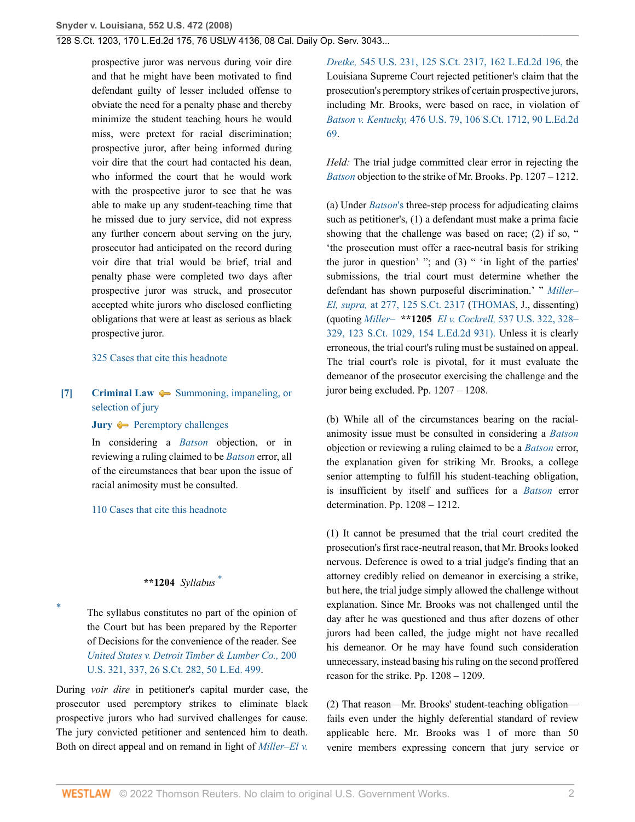prospective juror was nervous during voir dire and that he might have been motivated to find defendant guilty of lesser included offense to obviate the need for a penalty phase and thereby minimize the student teaching hours he would miss, were pretext for racial discrimination; prospective juror, after being informed during voir dire that the court had contacted his dean, who informed the court that he would work with the prospective juror to see that he was able to make up any student-teaching time that he missed due to jury service, did not express any further concern about serving on the jury, prosecutor had anticipated on the record during voir dire that trial would be brief, trial and penalty phase were completed two days after prospective juror was struck, and prosecutor accepted white jurors who disclosed conflicting obligations that were at least as serious as black prospective juror.

#### [325 Cases that cite this headnote](http://www.westlaw.com/Link/RelatedInformation/DocHeadnoteLink?docGuid=I1e964189f59811dcb595a478de34cd72&headnoteId=201552067200620140407015613&originationContext=document&vr=3.0&rs=cblt1.0&transitionType=CitingReferences&contextData=(sc.FindAndPrintPortal))

# <span id="page-1-2"></span>**[\[7\]](#page-4-1) [Criminal Law](http://www.westlaw.com/Browse/Home/KeyNumber/110/View.html?docGuid=I1e964189f59811dcb595a478de34cd72&originationContext=document&vr=3.0&rs=cblt1.0&transitionType=DocumentItem&contextData=(sc.FindAndPrintPortal))**  $\blacklozenge$  [Summoning, impaneling, or](http://www.westlaw.com/Browse/Home/KeyNumber/110k1134.38/View.html?docGuid=I1e964189f59811dcb595a478de34cd72&originationContext=document&vr=3.0&rs=cblt1.0&transitionType=DocumentItem&contextData=(sc.FindAndPrintPortal)) [selection of jury](http://www.westlaw.com/Browse/Home/KeyNumber/110k1134.38/View.html?docGuid=I1e964189f59811dcb595a478de34cd72&originationContext=document&vr=3.0&rs=cblt1.0&transitionType=DocumentItem&contextData=(sc.FindAndPrintPortal))

#### **[Jury](http://www.westlaw.com/Browse/Home/KeyNumber/230/View.html?docGuid=I1e964189f59811dcb595a478de34cd72&originationContext=document&vr=3.0&rs=cblt1.0&transitionType=DocumentItem&contextData=(sc.FindAndPrintPortal)) e** [Peremptory challenges](http://www.westlaw.com/Browse/Home/KeyNumber/230k33(5.15)/View.html?docGuid=I1e964189f59811dcb595a478de34cd72&originationContext=document&vr=3.0&rs=cblt1.0&transitionType=DocumentItem&contextData=(sc.FindAndPrintPortal))

In considering a *[Batson](http://www.westlaw.com/Link/Document/FullText?findType=Y&serNum=1986122459&originatingDoc=I1e964189f59811dcb595a478de34cd72&refType=RP&originationContext=document&vr=3.0&rs=cblt1.0&transitionType=DocumentItem&contextData=(sc.FindAndPrintPortal))* objection, or in reviewing a ruling claimed to be *[Batson](http://www.westlaw.com/Link/Document/FullText?findType=Y&serNum=1986122459&originatingDoc=I1e964189f59811dcb595a478de34cd72&refType=RP&originationContext=document&vr=3.0&rs=cblt1.0&transitionType=DocumentItem&contextData=(sc.FindAndPrintPortal))* error, all of the circumstances that bear upon the issue of racial animosity must be consulted.

## [110 Cases that cite this headnote](http://www.westlaw.com/Link/RelatedInformation/DocHeadnoteLink?docGuid=I1e964189f59811dcb595a478de34cd72&headnoteId=201552067200720140407015613&originationContext=document&vr=3.0&rs=cblt1.0&transitionType=CitingReferences&contextData=(sc.FindAndPrintPortal))

<span id="page-1-0"></span>[\\*](#page-1-1)

## <span id="page-1-1"></span>**\*\*1204** *Syllabus [\\*](#page-1-0)*

The syllabus constitutes no part of the opinion of the Court but has been prepared by the Reporter of Decisions for the convenience of the reader. See *[United States v. Detroit Timber & Lumber Co.,](http://www.westlaw.com/Link/Document/FullText?findType=Y&serNum=1906101604&pubNum=708&originatingDoc=I1e964189f59811dcb595a478de34cd72&refType=RP&originationContext=document&vr=3.0&rs=cblt1.0&transitionType=DocumentItem&contextData=(sc.FindAndPrintPortal))* 200 [U.S. 321, 337, 26 S.Ct. 282, 50 L.Ed. 499](http://www.westlaw.com/Link/Document/FullText?findType=Y&serNum=1906101604&pubNum=708&originatingDoc=I1e964189f59811dcb595a478de34cd72&refType=RP&originationContext=document&vr=3.0&rs=cblt1.0&transitionType=DocumentItem&contextData=(sc.FindAndPrintPortal)).

During *voir dire* in petitioner's capital murder case, the prosecutor used peremptory strikes to eliminate black prospective jurors who had survived challenges for cause. The jury convicted petitioner and sentenced him to death. Both on direct appeal and on remand in light of *[Miller–El v.](http://www.westlaw.com/Link/Document/FullText?findType=Y&serNum=2006791870&pubNum=708&originatingDoc=I1e964189f59811dcb595a478de34cd72&refType=RP&originationContext=document&vr=3.0&rs=cblt1.0&transitionType=DocumentItem&contextData=(sc.FindAndPrintPortal))*

*Dretke,* [545 U.S. 231, 125 S.Ct. 2317, 162 L.Ed.2d 196,](http://www.westlaw.com/Link/Document/FullText?findType=Y&serNum=2006791870&pubNum=708&originatingDoc=I1e964189f59811dcb595a478de34cd72&refType=RP&originationContext=document&vr=3.0&rs=cblt1.0&transitionType=DocumentItem&contextData=(sc.FindAndPrintPortal)) the Louisiana Supreme Court rejected petitioner's claim that the prosecution's peremptory strikes of certain prospective jurors, including Mr. Brooks, were based on race, in violation of *Batson v. Kentucky,* [476 U.S. 79, 106 S.Ct. 1712, 90 L.Ed.2d](http://www.westlaw.com/Link/Document/FullText?findType=Y&serNum=1986122459&pubNum=708&originatingDoc=I1e964189f59811dcb595a478de34cd72&refType=RP&originationContext=document&vr=3.0&rs=cblt1.0&transitionType=DocumentItem&contextData=(sc.FindAndPrintPortal)) [69](http://www.westlaw.com/Link/Document/FullText?findType=Y&serNum=1986122459&pubNum=708&originatingDoc=I1e964189f59811dcb595a478de34cd72&refType=RP&originationContext=document&vr=3.0&rs=cblt1.0&transitionType=DocumentItem&contextData=(sc.FindAndPrintPortal)).

*Held:* The trial judge committed clear error in rejecting the *[Batson](http://www.westlaw.com/Link/Document/FullText?findType=Y&serNum=1986122459&originatingDoc=I1e964189f59811dcb595a478de34cd72&refType=RP&originationContext=document&vr=3.0&rs=cblt1.0&transitionType=DocumentItem&contextData=(sc.FindAndPrintPortal))* objection to the strike of Mr. Brooks. Pp. 1207 – 1212.

(a) Under *[Batson](http://www.westlaw.com/Link/Document/FullText?findType=Y&serNum=1986122459&originatingDoc=I1e964189f59811dcb595a478de34cd72&refType=RP&originationContext=document&vr=3.0&rs=cblt1.0&transitionType=DocumentItem&contextData=(sc.FindAndPrintPortal))*'s three-step process for adjudicating claims such as petitioner's, (1) a defendant must make a prima facie showing that the challenge was based on race; (2) if so, " 'the prosecution must offer a race-neutral basis for striking the juror in question' "; and (3) " 'in light of the parties' submissions, the trial court must determine whether the defendant has shown purposeful discrimination.' " *[Miller–](http://www.westlaw.com/Link/Document/FullText?findType=Y&serNum=2006791870&pubNum=708&originatingDoc=I1e964189f59811dcb595a478de34cd72&refType=RP&originationContext=document&vr=3.0&rs=cblt1.0&transitionType=DocumentItem&contextData=(sc.FindAndPrintPortal)) El, supra,* [at 277, 125 S.Ct. 2317](http://www.westlaw.com/Link/Document/FullText?findType=Y&serNum=2006791870&pubNum=708&originatingDoc=I1e964189f59811dcb595a478de34cd72&refType=RP&originationContext=document&vr=3.0&rs=cblt1.0&transitionType=DocumentItem&contextData=(sc.FindAndPrintPortal)) ([THOMAS](http://www.westlaw.com/Link/Document/FullText?findType=h&pubNum=176284&cite=0216654601&originatingDoc=I1e964189f59811dcb595a478de34cd72&refType=RQ&originationContext=document&vr=3.0&rs=cblt1.0&transitionType=DocumentItem&contextData=(sc.FindAndPrintPortal)), J., dissenting) (quoting *Miller–* **\*\*1205** *El v. Cockrell,* [537 U.S. 322, 328–](http://www.westlaw.com/Link/Document/FullText?findType=Y&serNum=2003177406&pubNum=708&originatingDoc=I1e964189f59811dcb595a478de34cd72&refType=RP&originationContext=document&vr=3.0&rs=cblt1.0&transitionType=DocumentItem&contextData=(sc.FindAndPrintPortal)) [329, 123 S.Ct. 1029, 154 L.Ed.2d 931\).](http://www.westlaw.com/Link/Document/FullText?findType=Y&serNum=2003177406&pubNum=708&originatingDoc=I1e964189f59811dcb595a478de34cd72&refType=RP&originationContext=document&vr=3.0&rs=cblt1.0&transitionType=DocumentItem&contextData=(sc.FindAndPrintPortal)) Unless it is clearly erroneous, the trial court's ruling must be sustained on appeal. The trial court's role is pivotal, for it must evaluate the demeanor of the prosecutor exercising the challenge and the juror being excluded. Pp. 1207 – 1208.

(b) While all of the circumstances bearing on the racialanimosity issue must be consulted in considering a *[Batson](http://www.westlaw.com/Link/Document/FullText?findType=Y&serNum=1986122459&originatingDoc=I1e964189f59811dcb595a478de34cd72&refType=RP&originationContext=document&vr=3.0&rs=cblt1.0&transitionType=DocumentItem&contextData=(sc.FindAndPrintPortal))* objection or reviewing a ruling claimed to be a *[Batson](http://www.westlaw.com/Link/Document/FullText?findType=Y&serNum=1986122459&originatingDoc=I1e964189f59811dcb595a478de34cd72&refType=RP&originationContext=document&vr=3.0&rs=cblt1.0&transitionType=DocumentItem&contextData=(sc.FindAndPrintPortal))* error, the explanation given for striking Mr. Brooks, a college senior attempting to fulfill his student-teaching obligation, is insufficient by itself and suffices for a *[Batson](http://www.westlaw.com/Link/Document/FullText?findType=Y&serNum=1986122459&originatingDoc=I1e964189f59811dcb595a478de34cd72&refType=RP&originationContext=document&vr=3.0&rs=cblt1.0&transitionType=DocumentItem&contextData=(sc.FindAndPrintPortal))* error determination. Pp. 1208 – 1212.

(1) It cannot be presumed that the trial court credited the prosecution's first race-neutral reason, that Mr. Brooks looked nervous. Deference is owed to a trial judge's finding that an attorney credibly relied on demeanor in exercising a strike, but here, the trial judge simply allowed the challenge without explanation. Since Mr. Brooks was not challenged until the day after he was questioned and thus after dozens of other jurors had been called, the judge might not have recalled his demeanor. Or he may have found such consideration unnecessary, instead basing his ruling on the second proffered reason for the strike. Pp. 1208 – 1209.

(2) That reason—Mr. Brooks' student-teaching obligation fails even under the highly deferential standard of review applicable here. Mr. Brooks was 1 of more than 50 venire members expressing concern that jury service or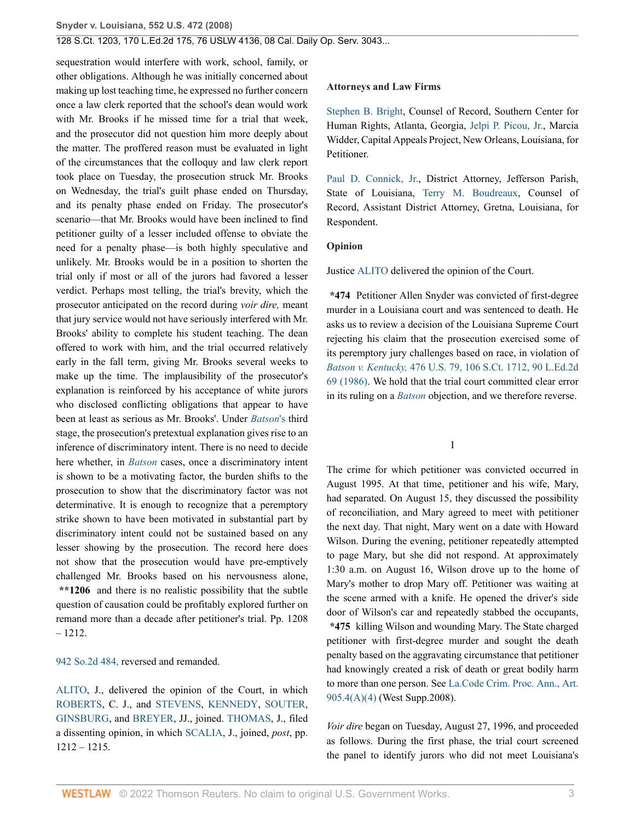sequestration would interfere with work, school, family, or other obligations. Although he was initially concerned about making up lost teaching time, he expressed no further concern once a law clerk reported that the school's dean would work with Mr. Brooks if he missed time for a trial that week, and the prosecutor did not question him more deeply about the matter. The proffered reason must be evaluated in light of the circumstances that the colloquy and law clerk report took place on Tuesday, the prosecution struck Mr. Brooks on Wednesday, the trial's guilt phase ended on Thursday, and its penalty phase ended on Friday. The prosecutor's scenario—that Mr. Brooks would have been inclined to find petitioner guilty of a lesser included offense to obviate the need for a penalty phase—is both highly speculative and unlikely. Mr. Brooks would be in a position to shorten the trial only if most or all of the jurors had favored a lesser verdict. Perhaps most telling, the trial's brevity, which the prosecutor anticipated on the record during *voir dire,* meant that jury service would not have seriously interfered with Mr. Brooks' ability to complete his student teaching. The dean offered to work with him, and the trial occurred relatively early in the fall term, giving Mr. Brooks several weeks to make up the time. The implausibility of the prosecutor's explanation is reinforced by his acceptance of white jurors who disclosed conflicting obligations that appear to have been at least as serious as Mr. Brooks'. Under *[Batson](http://www.westlaw.com/Link/Document/FullText?findType=Y&serNum=1986122459&originatingDoc=I1e964189f59811dcb595a478de34cd72&refType=RP&originationContext=document&vr=3.0&rs=cblt1.0&transitionType=DocumentItem&contextData=(sc.FindAndPrintPortal))*'s third stage, the prosecution's pretextual explanation gives rise to an inference of discriminatory intent. There is no need to decide here whether, in *[Batson](http://www.westlaw.com/Link/Document/FullText?findType=Y&serNum=1986122459&originatingDoc=I1e964189f59811dcb595a478de34cd72&refType=RP&originationContext=document&vr=3.0&rs=cblt1.0&transitionType=DocumentItem&contextData=(sc.FindAndPrintPortal))* cases, once a discriminatory intent is shown to be a motivating factor, the burden shifts to the prosecution to show that the discriminatory factor was not determinative. It is enough to recognize that a peremptory strike shown to have been motivated in substantial part by discriminatory intent could not be sustained based on any lesser showing by the prosecution. The record here does not show that the prosecution would have pre-emptively challenged Mr. Brooks based on his nervousness alone, **\*\*1206** and there is no realistic possibility that the subtle question of causation could be profitably explored further on remand more than a decade after petitioner's trial. Pp. 1208 – 1212.

[942 So.2d 484,](http://www.westlaw.com/Link/Document/FullText?findType=Y&serNum=2010226191&pubNum=735&originatingDoc=I1e964189f59811dcb595a478de34cd72&refType=RP&originationContext=document&vr=3.0&rs=cblt1.0&transitionType=DocumentItem&contextData=(sc.FindAndPrintPortal)) reversed and remanded.

[ALITO,](http://www.westlaw.com/Link/Document/FullText?findType=h&pubNum=176284&cite=0153052401&originatingDoc=I1e964189f59811dcb595a478de34cd72&refType=RQ&originationContext=document&vr=3.0&rs=cblt1.0&transitionType=DocumentItem&contextData=(sc.FindAndPrintPortal)) J., delivered the opinion of the Court, in which [ROBERTS](http://www.westlaw.com/Link/Document/FullText?findType=h&pubNum=176284&cite=0258116001&originatingDoc=I1e964189f59811dcb595a478de34cd72&refType=RQ&originationContext=document&vr=3.0&rs=cblt1.0&transitionType=DocumentItem&contextData=(sc.FindAndPrintPortal)), C. J., and [STEVENS,](http://www.westlaw.com/Link/Document/FullText?findType=h&pubNum=176284&cite=0156277701&originatingDoc=I1e964189f59811dcb595a478de34cd72&refType=RQ&originationContext=document&vr=3.0&rs=cblt1.0&transitionType=DocumentItem&contextData=(sc.FindAndPrintPortal)) [KENNEDY,](http://www.westlaw.com/Link/Document/FullText?findType=h&pubNum=176284&cite=0243105201&originatingDoc=I1e964189f59811dcb595a478de34cd72&refType=RQ&originationContext=document&vr=3.0&rs=cblt1.0&transitionType=DocumentItem&contextData=(sc.FindAndPrintPortal)) [SOUTER](http://www.westlaw.com/Link/Document/FullText?findType=h&pubNum=176284&cite=0263202201&originatingDoc=I1e964189f59811dcb595a478de34cd72&refType=RQ&originationContext=document&vr=3.0&rs=cblt1.0&transitionType=DocumentItem&contextData=(sc.FindAndPrintPortal)), [GINSBURG](http://www.westlaw.com/Link/Document/FullText?findType=h&pubNum=176284&cite=0224420501&originatingDoc=I1e964189f59811dcb595a478de34cd72&refType=RQ&originationContext=document&vr=3.0&rs=cblt1.0&transitionType=DocumentItem&contextData=(sc.FindAndPrintPortal)), and [BREYER](http://www.westlaw.com/Link/Document/FullText?findType=h&pubNum=176284&cite=0254766801&originatingDoc=I1e964189f59811dcb595a478de34cd72&refType=RQ&originationContext=document&vr=3.0&rs=cblt1.0&transitionType=DocumentItem&contextData=(sc.FindAndPrintPortal)), JJ., joined. [THOMAS](http://www.westlaw.com/Link/Document/FullText?findType=h&pubNum=176284&cite=0216654601&originatingDoc=I1e964189f59811dcb595a478de34cd72&refType=RQ&originationContext=document&vr=3.0&rs=cblt1.0&transitionType=DocumentItem&contextData=(sc.FindAndPrintPortal)), J., filed a dissenting opinion, in which [SCALIA,](http://www.westlaw.com/Link/Document/FullText?findType=h&pubNum=176284&cite=0254763301&originatingDoc=I1e964189f59811dcb595a478de34cd72&refType=RQ&originationContext=document&vr=3.0&rs=cblt1.0&transitionType=DocumentItem&contextData=(sc.FindAndPrintPortal)) J., joined, *post*, pp. 1212 – 1215.

#### **Attorneys and Law Firms**

[Stephen B. Bright,](http://www.westlaw.com/Link/Document/FullText?findType=h&pubNum=176284&cite=0162141901&originatingDoc=I1e964189f59811dcb595a478de34cd72&refType=RQ&originationContext=document&vr=3.0&rs=cblt1.0&transitionType=DocumentItem&contextData=(sc.FindAndPrintPortal)) Counsel of Record, Southern Center for Human Rights, Atlanta, Georgia, [Jelpi P. Picou, Jr.,](http://www.westlaw.com/Link/Document/FullText?findType=h&pubNum=176284&cite=0208766901&originatingDoc=I1e964189f59811dcb595a478de34cd72&refType=RQ&originationContext=document&vr=3.0&rs=cblt1.0&transitionType=DocumentItem&contextData=(sc.FindAndPrintPortal)) Marcia Widder, Capital Appeals Project, New Orleans, Louisiana, for Petitioner.

[Paul D. Connick, Jr.,](http://www.westlaw.com/Link/Document/FullText?findType=h&pubNum=176284&cite=0252937301&originatingDoc=I1e964189f59811dcb595a478de34cd72&refType=RQ&originationContext=document&vr=3.0&rs=cblt1.0&transitionType=DocumentItem&contextData=(sc.FindAndPrintPortal)) District Attorney, Jefferson Parish, State of Louisiana, [Terry M. Boudreaux](http://www.westlaw.com/Link/Document/FullText?findType=h&pubNum=176284&cite=0111767801&originatingDoc=I1e964189f59811dcb595a478de34cd72&refType=RQ&originationContext=document&vr=3.0&rs=cblt1.0&transitionType=DocumentItem&contextData=(sc.FindAndPrintPortal)), Counsel of Record, Assistant District Attorney, Gretna, Louisiana, for Respondent.

#### **Opinion**

Justice [ALITO](http://www.westlaw.com/Link/Document/FullText?findType=h&pubNum=176284&cite=0153052401&originatingDoc=I1e964189f59811dcb595a478de34cd72&refType=RQ&originationContext=document&vr=3.0&rs=cblt1.0&transitionType=DocumentItem&contextData=(sc.FindAndPrintPortal)) delivered the opinion of the Court.

**\*474** Petitioner Allen Snyder was convicted of first-degree murder in a Louisiana court and was sentenced to death. He asks us to review a decision of the Louisiana Supreme Court rejecting his claim that the prosecution exercised some of its peremptory jury challenges based on race, in violation of *Batson v. Kentucky,* [476 U.S. 79, 106 S.Ct. 1712, 90 L.Ed.2d](http://www.westlaw.com/Link/Document/FullText?findType=Y&serNum=1986122459&pubNum=708&originatingDoc=I1e964189f59811dcb595a478de34cd72&refType=RP&originationContext=document&vr=3.0&rs=cblt1.0&transitionType=DocumentItem&contextData=(sc.FindAndPrintPortal)) [69 \(1986\)](http://www.westlaw.com/Link/Document/FullText?findType=Y&serNum=1986122459&pubNum=708&originatingDoc=I1e964189f59811dcb595a478de34cd72&refType=RP&originationContext=document&vr=3.0&rs=cblt1.0&transitionType=DocumentItem&contextData=(sc.FindAndPrintPortal)). We hold that the trial court committed clear error in its ruling on a *[Batson](http://www.westlaw.com/Link/Document/FullText?findType=Y&serNum=1986122459&originatingDoc=I1e964189f59811dcb595a478de34cd72&refType=RP&originationContext=document&vr=3.0&rs=cblt1.0&transitionType=DocumentItem&contextData=(sc.FindAndPrintPortal))* objection, and we therefore reverse.

I

The crime for which petitioner was convicted occurred in August 1995. At that time, petitioner and his wife, Mary, had separated. On August 15, they discussed the possibility of reconciliation, and Mary agreed to meet with petitioner the next day. That night, Mary went on a date with Howard Wilson. During the evening, petitioner repeatedly attempted to page Mary, but she did not respond. At approximately 1:30 a.m. on August 16, Wilson drove up to the home of Mary's mother to drop Mary off. Petitioner was waiting at the scene armed with a knife. He opened the driver's side door of Wilson's car and repeatedly stabbed the occupants, **\*475** killing Wilson and wounding Mary. The State charged petitioner with first-degree murder and sought the death penalty based on the aggravating circumstance that petitioner had knowingly created a risk of death or great bodily harm to more than one person. See [La.Code Crim. Proc. Ann., Art.](http://www.westlaw.com/Link/Document/FullText?findType=L&pubNum=1000014&cite=LACRART905.4&originatingDoc=I1e964189f59811dcb595a478de34cd72&refType=LQ&originationContext=document&vr=3.0&rs=cblt1.0&transitionType=DocumentItem&contextData=(sc.FindAndPrintPortal)) [905.4\(A\)\(4\)](http://www.westlaw.com/Link/Document/FullText?findType=L&pubNum=1000014&cite=LACRART905.4&originatingDoc=I1e964189f59811dcb595a478de34cd72&refType=LQ&originationContext=document&vr=3.0&rs=cblt1.0&transitionType=DocumentItem&contextData=(sc.FindAndPrintPortal)) (West Supp.2008).

*Voir dire* began on Tuesday, August 27, 1996, and proceeded as follows. During the first phase, the trial court screened the panel to identify jurors who did not meet Louisiana's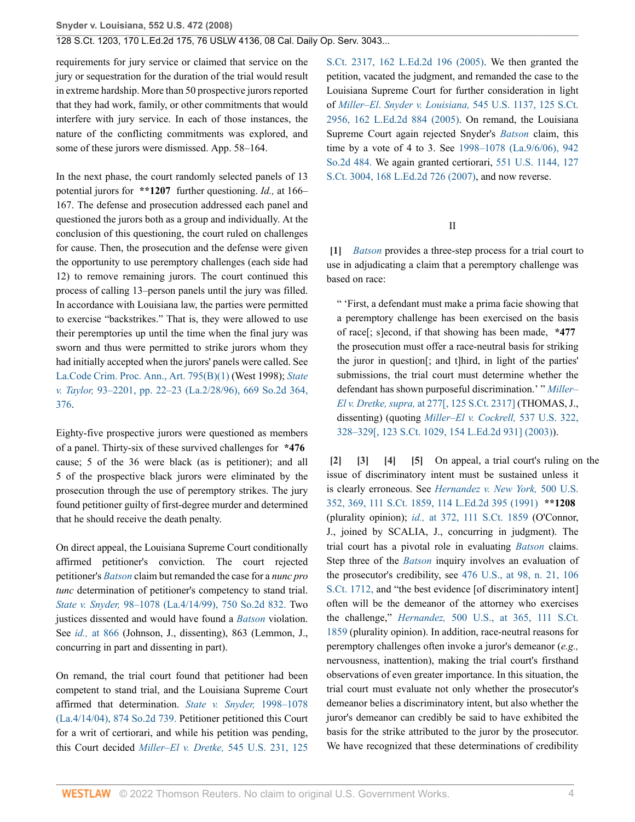# **Snyder v. Louisiana, 552 U.S. 472 (2008)**

128 S.Ct. 1203, 170 L.Ed.2d 175, 76 USLW 4136, 08 Cal. Daily Op. Serv. 3043...

requirements for jury service or claimed that service on the jury or sequestration for the duration of the trial would result in extreme hardship. More than 50 prospective jurors reported that they had work, family, or other commitments that would interfere with jury service. In each of those instances, the nature of the conflicting commitments was explored, and some of these jurors were dismissed. App. 58–164.

In the next phase, the court randomly selected panels of 13 potential jurors for **\*\*1207** further questioning. *Id.,* at 166– 167. The defense and prosecution addressed each panel and questioned the jurors both as a group and individually. At the conclusion of this questioning, the court ruled on challenges for cause. Then, the prosecution and the defense were given the opportunity to use peremptory challenges (each side had 12) to remove remaining jurors. The court continued this process of calling 13–person panels until the jury was filled. In accordance with Louisiana law, the parties were permitted to exercise "backstrikes." That is, they were allowed to use their peremptories up until the time when the final jury was sworn and thus were permitted to strike jurors whom they had initially accepted when the jurors' panels were called. See [La.Code Crim. Proc. Ann., Art. 795\(B\)\(1\)](http://www.westlaw.com/Link/Document/FullText?findType=L&pubNum=1000014&cite=LACRART795&originatingDoc=I1e964189f59811dcb595a478de34cd72&refType=LQ&originationContext=document&vr=3.0&rs=cblt1.0&transitionType=DocumentItem&contextData=(sc.FindAndPrintPortal)) (West 1998); *[State](http://www.westlaw.com/Link/Document/FullText?findType=Y&serNum=1996060621&pubNum=735&originatingDoc=I1e964189f59811dcb595a478de34cd72&refType=RP&fi=co_pp_sp_735_376&originationContext=document&vr=3.0&rs=cblt1.0&transitionType=DocumentItem&contextData=(sc.FindAndPrintPortal)#co_pp_sp_735_376) v. Taylor,* [93–2201, pp. 22–23 \(La.2/28/96\), 669 So.2d 364,](http://www.westlaw.com/Link/Document/FullText?findType=Y&serNum=1996060621&pubNum=735&originatingDoc=I1e964189f59811dcb595a478de34cd72&refType=RP&fi=co_pp_sp_735_376&originationContext=document&vr=3.0&rs=cblt1.0&transitionType=DocumentItem&contextData=(sc.FindAndPrintPortal)#co_pp_sp_735_376) [376](http://www.westlaw.com/Link/Document/FullText?findType=Y&serNum=1996060621&pubNum=735&originatingDoc=I1e964189f59811dcb595a478de34cd72&refType=RP&fi=co_pp_sp_735_376&originationContext=document&vr=3.0&rs=cblt1.0&transitionType=DocumentItem&contextData=(sc.FindAndPrintPortal)#co_pp_sp_735_376).

Eighty-five prospective jurors were questioned as members of a panel. Thirty-six of these survived challenges for **\*476** cause; 5 of the 36 were black (as is petitioner); and all 5 of the prospective black jurors were eliminated by the prosecution through the use of peremptory strikes. The jury found petitioner guilty of first-degree murder and determined that he should receive the death penalty.

On direct appeal, the Louisiana Supreme Court conditionally affirmed petitioner's conviction. The court rejected petitioner's *[Batson](http://www.westlaw.com/Link/Document/FullText?findType=Y&serNum=1986122459&originatingDoc=I1e964189f59811dcb595a478de34cd72&refType=RP&originationContext=document&vr=3.0&rs=cblt1.0&transitionType=DocumentItem&contextData=(sc.FindAndPrintPortal))* claim but remanded the case for a *nunc pro tunc* determination of petitioner's competency to stand trial. *State v. Snyder,* [98–1078 \(La.4/14/99\), 750 So.2d 832.](http://www.westlaw.com/Link/Document/FullText?findType=Y&serNum=1999103789&pubNum=735&originatingDoc=I1e964189f59811dcb595a478de34cd72&refType=RP&originationContext=document&vr=3.0&rs=cblt1.0&transitionType=DocumentItem&contextData=(sc.FindAndPrintPortal)) Two justices dissented and would have found a *[Batson](http://www.westlaw.com/Link/Document/FullText?findType=Y&serNum=1986122459&originatingDoc=I1e964189f59811dcb595a478de34cd72&refType=RP&originationContext=document&vr=3.0&rs=cblt1.0&transitionType=DocumentItem&contextData=(sc.FindAndPrintPortal))* violation. See *id.,* [at 866](http://www.westlaw.com/Link/Document/FullText?findType=Y&serNum=1999103789&originatingDoc=I1e964189f59811dcb595a478de34cd72&refType=RP&originationContext=document&vr=3.0&rs=cblt1.0&transitionType=DocumentItem&contextData=(sc.FindAndPrintPortal)) (Johnson, J., dissenting), 863 (Lemmon, J., concurring in part and dissenting in part).

On remand, the trial court found that petitioner had been competent to stand trial, and the Louisiana Supreme Court affirmed that determination. *[State v. Snyder,](http://www.westlaw.com/Link/Document/FullText?findType=Y&serNum=2004327155&pubNum=735&originatingDoc=I1e964189f59811dcb595a478de34cd72&refType=RP&originationContext=document&vr=3.0&rs=cblt1.0&transitionType=DocumentItem&contextData=(sc.FindAndPrintPortal))* 1998–1078 [\(La.4/14/04\), 874 So.2d 739.](http://www.westlaw.com/Link/Document/FullText?findType=Y&serNum=2004327155&pubNum=735&originatingDoc=I1e964189f59811dcb595a478de34cd72&refType=RP&originationContext=document&vr=3.0&rs=cblt1.0&transitionType=DocumentItem&contextData=(sc.FindAndPrintPortal)) Petitioner petitioned this Court for a writ of certiorari, and while his petition was pending, this Court decided *[Miller–El v. Dretke,](http://www.westlaw.com/Link/Document/FullText?findType=Y&serNum=2006791870&pubNum=708&originatingDoc=I1e964189f59811dcb595a478de34cd72&refType=RP&originationContext=document&vr=3.0&rs=cblt1.0&transitionType=DocumentItem&contextData=(sc.FindAndPrintPortal))* 545 U.S. 231, 125 [S.Ct. 2317, 162 L.Ed.2d 196 \(2005\).](http://www.westlaw.com/Link/Document/FullText?findType=Y&serNum=2006791870&pubNum=708&originatingDoc=I1e964189f59811dcb595a478de34cd72&refType=RP&originationContext=document&vr=3.0&rs=cblt1.0&transitionType=DocumentItem&contextData=(sc.FindAndPrintPortal)) We then granted the petition, vacated the judgment, and remanded the case to the Louisiana Supreme Court for further consideration in light of *[Miller–El](http://www.westlaw.com/Link/Document/FullText?findType=Y&serNum=2006791870&originatingDoc=I1e964189f59811dcb595a478de34cd72&refType=RP&originationContext=document&vr=3.0&rs=cblt1.0&transitionType=DocumentItem&contextData=(sc.FindAndPrintPortal))*. *Snyder v. Louisiana,* [545 U.S. 1137, 125 S.Ct.](http://www.westlaw.com/Link/Document/FullText?findType=Y&serNum=2005201380&pubNum=708&originatingDoc=I1e964189f59811dcb595a478de34cd72&refType=RP&originationContext=document&vr=3.0&rs=cblt1.0&transitionType=DocumentItem&contextData=(sc.FindAndPrintPortal)) [2956, 162 L.Ed.2d 884 \(2005\).](http://www.westlaw.com/Link/Document/FullText?findType=Y&serNum=2005201380&pubNum=708&originatingDoc=I1e964189f59811dcb595a478de34cd72&refType=RP&originationContext=document&vr=3.0&rs=cblt1.0&transitionType=DocumentItem&contextData=(sc.FindAndPrintPortal)) On remand, the Louisiana Supreme Court again rejected Snyder's *[Batson](http://www.westlaw.com/Link/Document/FullText?findType=Y&serNum=1986122459&originatingDoc=I1e964189f59811dcb595a478de34cd72&refType=RP&originationContext=document&vr=3.0&rs=cblt1.0&transitionType=DocumentItem&contextData=(sc.FindAndPrintPortal))* claim, this time by a vote of 4 to 3. See [1998–1078 \(La.9/6/06\), 942](http://www.westlaw.com/Link/Document/FullText?findType=Y&serNum=2010226191&pubNum=735&originatingDoc=I1e964189f59811dcb595a478de34cd72&refType=RP&originationContext=document&vr=3.0&rs=cblt1.0&transitionType=DocumentItem&contextData=(sc.FindAndPrintPortal)) [So.2d 484.](http://www.westlaw.com/Link/Document/FullText?findType=Y&serNum=2010226191&pubNum=735&originatingDoc=I1e964189f59811dcb595a478de34cd72&refType=RP&originationContext=document&vr=3.0&rs=cblt1.0&transitionType=DocumentItem&contextData=(sc.FindAndPrintPortal)) We again granted certiorari, [551 U.S. 1144, 127](http://www.westlaw.com/Link/Document/FullText?findType=Y&serNum=2011745052&pubNum=708&originatingDoc=I1e964189f59811dcb595a478de34cd72&refType=RP&originationContext=document&vr=3.0&rs=cblt1.0&transitionType=DocumentItem&contextData=(sc.FindAndPrintPortal)) [S.Ct. 3004, 168 L.Ed.2d 726 \(2007\),](http://www.westlaw.com/Link/Document/FullText?findType=Y&serNum=2011745052&pubNum=708&originatingDoc=I1e964189f59811dcb595a478de34cd72&refType=RP&originationContext=document&vr=3.0&rs=cblt1.0&transitionType=DocumentItem&contextData=(sc.FindAndPrintPortal)) and now reverse.

II

<span id="page-3-0"></span>**[\[1\]](#page-0-1)** *[Batson](http://www.westlaw.com/Link/Document/FullText?findType=Y&serNum=1986122459&originatingDoc=I1e964189f59811dcb595a478de34cd72&refType=RP&originationContext=document&vr=3.0&rs=cblt1.0&transitionType=DocumentItem&contextData=(sc.FindAndPrintPortal))* provides a three-step process for a trial court to use in adjudicating a claim that a peremptory challenge was based on race:

" 'First, a defendant must make a prima facie showing that a peremptory challenge has been exercised on the basis of race[; s]econd, if that showing has been made, **\*477** the prosecution must offer a race-neutral basis for striking the juror in question[; and t]hird, in light of the parties' submissions, the trial court must determine whether the defendant has shown purposeful discrimination.' " *[Miller–](http://www.westlaw.com/Link/Document/FullText?findType=Y&serNum=2006791870&pubNum=708&originatingDoc=I1e964189f59811dcb595a478de34cd72&refType=RP&originationContext=document&vr=3.0&rs=cblt1.0&transitionType=DocumentItem&contextData=(sc.FindAndPrintPortal)) El v. Dretke, supra,* [at 277\[, 125 S.Ct. 2317\]](http://www.westlaw.com/Link/Document/FullText?findType=Y&serNum=2006791870&pubNum=708&originatingDoc=I1e964189f59811dcb595a478de34cd72&refType=RP&originationContext=document&vr=3.0&rs=cblt1.0&transitionType=DocumentItem&contextData=(sc.FindAndPrintPortal)) (THOMAS, J., dissenting) (quoting *[Miller–El v. Cockrell,](http://www.westlaw.com/Link/Document/FullText?findType=Y&serNum=2003177406&pubNum=708&originatingDoc=I1e964189f59811dcb595a478de34cd72&refType=RP&originationContext=document&vr=3.0&rs=cblt1.0&transitionType=DocumentItem&contextData=(sc.FindAndPrintPortal))* 537 U.S. 322, [328–329\[, 123 S.Ct. 1029, 154 L.Ed.2d 931\] \(2003\)](http://www.westlaw.com/Link/Document/FullText?findType=Y&serNum=2003177406&pubNum=708&originatingDoc=I1e964189f59811dcb595a478de34cd72&refType=RP&originationContext=document&vr=3.0&rs=cblt1.0&transitionType=DocumentItem&contextData=(sc.FindAndPrintPortal))).

<span id="page-3-4"></span><span id="page-3-3"></span><span id="page-3-2"></span><span id="page-3-1"></span>**[\[2\]](#page-0-2) [\[3\]](#page-0-3) [\[4\]](#page-0-4) [\[5\]](#page-0-5)** On appeal, a trial court's ruling on the issue of discriminatory intent must be sustained unless it is clearly erroneous. See *[Hernandez v. New York,](http://www.westlaw.com/Link/Document/FullText?findType=Y&serNum=1991097682&pubNum=708&originatingDoc=I1e964189f59811dcb595a478de34cd72&refType=RP&originationContext=document&vr=3.0&rs=cblt1.0&transitionType=DocumentItem&contextData=(sc.FindAndPrintPortal))* 500 U.S. [352, 369, 111 S.Ct. 1859, 114 L.Ed.2d 395 \(1991\)](http://www.westlaw.com/Link/Document/FullText?findType=Y&serNum=1991097682&pubNum=708&originatingDoc=I1e964189f59811dcb595a478de34cd72&refType=RP&originationContext=document&vr=3.0&rs=cblt1.0&transitionType=DocumentItem&contextData=(sc.FindAndPrintPortal)) **\*\*1208** (plurality opinion); *id.,* [at 372, 111 S.Ct. 1859](http://www.westlaw.com/Link/Document/FullText?findType=Y&serNum=1991097682&pubNum=708&originatingDoc=I1e964189f59811dcb595a478de34cd72&refType=RP&originationContext=document&vr=3.0&rs=cblt1.0&transitionType=DocumentItem&contextData=(sc.FindAndPrintPortal)) (O'Connor, J., joined by SCALIA, J., concurring in judgment). The trial court has a pivotal role in evaluating *[Batson](http://www.westlaw.com/Link/Document/FullText?findType=Y&serNum=1986122459&originatingDoc=I1e964189f59811dcb595a478de34cd72&refType=RP&originationContext=document&vr=3.0&rs=cblt1.0&transitionType=DocumentItem&contextData=(sc.FindAndPrintPortal))* claims. Step three of the *[Batson](http://www.westlaw.com/Link/Document/FullText?findType=Y&serNum=1986122459&originatingDoc=I1e964189f59811dcb595a478de34cd72&refType=RP&originationContext=document&vr=3.0&rs=cblt1.0&transitionType=DocumentItem&contextData=(sc.FindAndPrintPortal))* inquiry involves an evaluation of the prosecutor's credibility, see [476 U.S., at 98, n. 21, 106](http://www.westlaw.com/Link/Document/FullText?findType=Y&serNum=1986122459&pubNum=708&originatingDoc=I1e964189f59811dcb595a478de34cd72&refType=RP&originationContext=document&vr=3.0&rs=cblt1.0&transitionType=DocumentItem&contextData=(sc.FindAndPrintPortal)) [S.Ct. 1712,](http://www.westlaw.com/Link/Document/FullText?findType=Y&serNum=1986122459&pubNum=708&originatingDoc=I1e964189f59811dcb595a478de34cd72&refType=RP&originationContext=document&vr=3.0&rs=cblt1.0&transitionType=DocumentItem&contextData=(sc.FindAndPrintPortal)) and "the best evidence [of discriminatory intent] often will be the demeanor of the attorney who exercises the challenge," *Hernandez,* [500 U.S., at 365, 111 S.Ct.](http://www.westlaw.com/Link/Document/FullText?findType=Y&serNum=1991097682&pubNum=708&originatingDoc=I1e964189f59811dcb595a478de34cd72&refType=RP&originationContext=document&vr=3.0&rs=cblt1.0&transitionType=DocumentItem&contextData=(sc.FindAndPrintPortal)) [1859](http://www.westlaw.com/Link/Document/FullText?findType=Y&serNum=1991097682&pubNum=708&originatingDoc=I1e964189f59811dcb595a478de34cd72&refType=RP&originationContext=document&vr=3.0&rs=cblt1.0&transitionType=DocumentItem&contextData=(sc.FindAndPrintPortal)) (plurality opinion). In addition, race-neutral reasons for peremptory challenges often invoke a juror's demeanor (*e.g.,* nervousness, inattention), making the trial court's firsthand observations of even greater importance. In this situation, the trial court must evaluate not only whether the prosecutor's demeanor belies a discriminatory intent, but also whether the juror's demeanor can credibly be said to have exhibited the basis for the strike attributed to the juror by the prosecutor. We have recognized that these determinations of credibility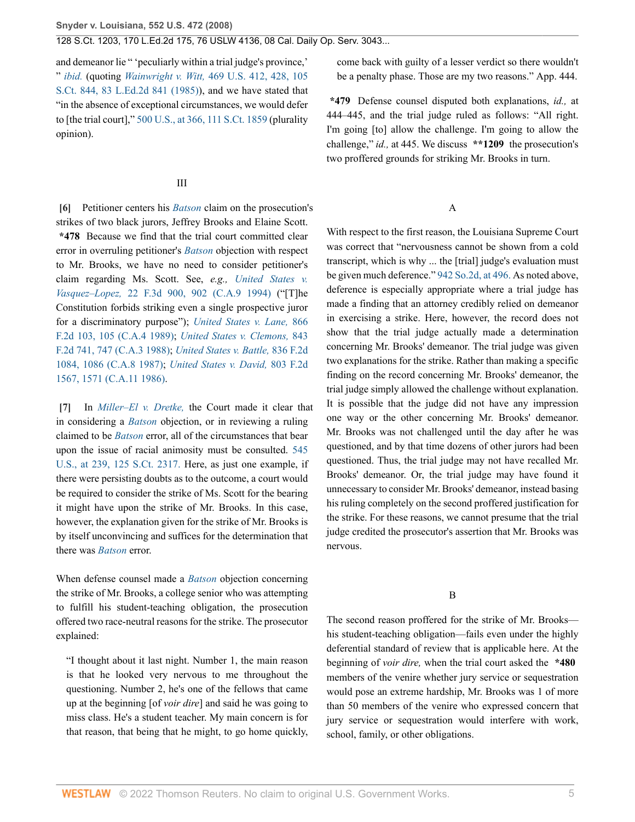and demeanor lie " 'peculiarly within a trial judge's province,' " *[ibid.](http://www.westlaw.com/Link/Document/FullText?findType=Y&serNum=1991097682&originatingDoc=I1e964189f59811dcb595a478de34cd72&refType=RP&originationContext=document&vr=3.0&rs=cblt1.0&transitionType=DocumentItem&contextData=(sc.FindAndPrintPortal))* (quoting *Wainwright v. Witt,* [469 U.S. 412, 428, 105](http://www.westlaw.com/Link/Document/FullText?findType=Y&serNum=1985104035&pubNum=708&originatingDoc=I1e964189f59811dcb595a478de34cd72&refType=RP&originationContext=document&vr=3.0&rs=cblt1.0&transitionType=DocumentItem&contextData=(sc.FindAndPrintPortal)) [S.Ct. 844, 83 L.Ed.2d 841 \(1985\)\)](http://www.westlaw.com/Link/Document/FullText?findType=Y&serNum=1985104035&pubNum=708&originatingDoc=I1e964189f59811dcb595a478de34cd72&refType=RP&originationContext=document&vr=3.0&rs=cblt1.0&transitionType=DocumentItem&contextData=(sc.FindAndPrintPortal)), and we have stated that "in the absence of exceptional circumstances, we would defer to [the trial court]," [500 U.S., at 366, 111 S.Ct. 1859](http://www.westlaw.com/Link/Document/FullText?findType=Y&serNum=1991097682&pubNum=708&originatingDoc=I1e964189f59811dcb595a478de34cd72&refType=RP&originationContext=document&vr=3.0&rs=cblt1.0&transitionType=DocumentItem&contextData=(sc.FindAndPrintPortal)) (plurality opinion).

## III

<span id="page-4-0"></span>**[\[6\]](#page-0-0)** Petitioner centers his *[Batson](http://www.westlaw.com/Link/Document/FullText?findType=Y&serNum=1986122459&originatingDoc=I1e964189f59811dcb595a478de34cd72&refType=RP&originationContext=document&vr=3.0&rs=cblt1.0&transitionType=DocumentItem&contextData=(sc.FindAndPrintPortal))* claim on the prosecution's strikes of two black jurors, Jeffrey Brooks and Elaine Scott. **\*478** Because we find that the trial court committed clear error in overruling petitioner's *[Batson](http://www.westlaw.com/Link/Document/FullText?findType=Y&serNum=1986122459&originatingDoc=I1e964189f59811dcb595a478de34cd72&refType=RP&originationContext=document&vr=3.0&rs=cblt1.0&transitionType=DocumentItem&contextData=(sc.FindAndPrintPortal))* objection with respect to Mr. Brooks, we have no need to consider petitioner's claim regarding Ms. Scott. See, *e.g., [United States v.](http://www.westlaw.com/Link/Document/FullText?findType=Y&serNum=1994086052&pubNum=506&originatingDoc=I1e964189f59811dcb595a478de34cd72&refType=RP&fi=co_pp_sp_506_902&originationContext=document&vr=3.0&rs=cblt1.0&transitionType=DocumentItem&contextData=(sc.FindAndPrintPortal)#co_pp_sp_506_902) Vasquez–Lopez,* [22 F.3d 900, 902 \(C.A.9 1994\)](http://www.westlaw.com/Link/Document/FullText?findType=Y&serNum=1994086052&pubNum=506&originatingDoc=I1e964189f59811dcb595a478de34cd72&refType=RP&fi=co_pp_sp_506_902&originationContext=document&vr=3.0&rs=cblt1.0&transitionType=DocumentItem&contextData=(sc.FindAndPrintPortal)#co_pp_sp_506_902) ("[T]he Constitution forbids striking even a single prospective juror for a discriminatory purpose"); *[United States v. Lane,](http://www.westlaw.com/Link/Document/FullText?findType=Y&serNum=1989015168&pubNum=350&originatingDoc=I1e964189f59811dcb595a478de34cd72&refType=RP&fi=co_pp_sp_350_105&originationContext=document&vr=3.0&rs=cblt1.0&transitionType=DocumentItem&contextData=(sc.FindAndPrintPortal)#co_pp_sp_350_105)* 866 [F.2d 103, 105 \(C.A.4 1989\);](http://www.westlaw.com/Link/Document/FullText?findType=Y&serNum=1989015168&pubNum=350&originatingDoc=I1e964189f59811dcb595a478de34cd72&refType=RP&fi=co_pp_sp_350_105&originationContext=document&vr=3.0&rs=cblt1.0&transitionType=DocumentItem&contextData=(sc.FindAndPrintPortal)#co_pp_sp_350_105) *[United States v. Clemons,](http://www.westlaw.com/Link/Document/FullText?findType=Y&serNum=1988044850&pubNum=350&originatingDoc=I1e964189f59811dcb595a478de34cd72&refType=RP&fi=co_pp_sp_350_747&originationContext=document&vr=3.0&rs=cblt1.0&transitionType=DocumentItem&contextData=(sc.FindAndPrintPortal)#co_pp_sp_350_747)* 843 [F.2d 741, 747 \(C.A.3 1988\);](http://www.westlaw.com/Link/Document/FullText?findType=Y&serNum=1988044850&pubNum=350&originatingDoc=I1e964189f59811dcb595a478de34cd72&refType=RP&fi=co_pp_sp_350_747&originationContext=document&vr=3.0&rs=cblt1.0&transitionType=DocumentItem&contextData=(sc.FindAndPrintPortal)#co_pp_sp_350_747) *[United States v. Battle,](http://www.westlaw.com/Link/Document/FullText?findType=Y&serNum=1987161197&pubNum=350&originatingDoc=I1e964189f59811dcb595a478de34cd72&refType=RP&fi=co_pp_sp_350_1086&originationContext=document&vr=3.0&rs=cblt1.0&transitionType=DocumentItem&contextData=(sc.FindAndPrintPortal)#co_pp_sp_350_1086)* 836 F.2d [1084, 1086 \(C.A.8 1987\)](http://www.westlaw.com/Link/Document/FullText?findType=Y&serNum=1987161197&pubNum=350&originatingDoc=I1e964189f59811dcb595a478de34cd72&refType=RP&fi=co_pp_sp_350_1086&originationContext=document&vr=3.0&rs=cblt1.0&transitionType=DocumentItem&contextData=(sc.FindAndPrintPortal)#co_pp_sp_350_1086); *[United States v. David,](http://www.westlaw.com/Link/Document/FullText?findType=Y&serNum=1986153364&pubNum=350&originatingDoc=I1e964189f59811dcb595a478de34cd72&refType=RP&fi=co_pp_sp_350_1571&originationContext=document&vr=3.0&rs=cblt1.0&transitionType=DocumentItem&contextData=(sc.FindAndPrintPortal)#co_pp_sp_350_1571)* 803 F.2d [1567, 1571 \(C.A.11 1986\)](http://www.westlaw.com/Link/Document/FullText?findType=Y&serNum=1986153364&pubNum=350&originatingDoc=I1e964189f59811dcb595a478de34cd72&refType=RP&fi=co_pp_sp_350_1571&originationContext=document&vr=3.0&rs=cblt1.0&transitionType=DocumentItem&contextData=(sc.FindAndPrintPortal)#co_pp_sp_350_1571).

<span id="page-4-1"></span>**[\[7\]](#page-1-2)** In *[Miller–El v. Dretke,](http://www.westlaw.com/Link/Document/FullText?findType=Y&serNum=2006791870&originatingDoc=I1e964189f59811dcb595a478de34cd72&refType=RP&originationContext=document&vr=3.0&rs=cblt1.0&transitionType=DocumentItem&contextData=(sc.FindAndPrintPortal))* the Court made it clear that in considering a *[Batson](http://www.westlaw.com/Link/Document/FullText?findType=Y&serNum=1986122459&originatingDoc=I1e964189f59811dcb595a478de34cd72&refType=RP&originationContext=document&vr=3.0&rs=cblt1.0&transitionType=DocumentItem&contextData=(sc.FindAndPrintPortal))* objection, or in reviewing a ruling claimed to be *[Batson](http://www.westlaw.com/Link/Document/FullText?findType=Y&serNum=1986122459&originatingDoc=I1e964189f59811dcb595a478de34cd72&refType=RP&originationContext=document&vr=3.0&rs=cblt1.0&transitionType=DocumentItem&contextData=(sc.FindAndPrintPortal))* error, all of the circumstances that bear upon the issue of racial animosity must be consulted. [545](http://www.westlaw.com/Link/Document/FullText?findType=Y&serNum=2006791870&pubNum=708&originatingDoc=I1e964189f59811dcb595a478de34cd72&refType=RP&originationContext=document&vr=3.0&rs=cblt1.0&transitionType=DocumentItem&contextData=(sc.FindAndPrintPortal)) [U.S., at 239, 125 S.Ct. 2317.](http://www.westlaw.com/Link/Document/FullText?findType=Y&serNum=2006791870&pubNum=708&originatingDoc=I1e964189f59811dcb595a478de34cd72&refType=RP&originationContext=document&vr=3.0&rs=cblt1.0&transitionType=DocumentItem&contextData=(sc.FindAndPrintPortal)) Here, as just one example, if there were persisting doubts as to the outcome, a court would be required to consider the strike of Ms. Scott for the bearing it might have upon the strike of Mr. Brooks. In this case, however, the explanation given for the strike of Mr. Brooks is by itself unconvincing and suffices for the determination that there was *[Batson](http://www.westlaw.com/Link/Document/FullText?findType=Y&serNum=1986122459&originatingDoc=I1e964189f59811dcb595a478de34cd72&refType=RP&originationContext=document&vr=3.0&rs=cblt1.0&transitionType=DocumentItem&contextData=(sc.FindAndPrintPortal))* error.

When defense counsel made a *[Batson](http://www.westlaw.com/Link/Document/FullText?findType=Y&serNum=1986122459&originatingDoc=I1e964189f59811dcb595a478de34cd72&refType=RP&originationContext=document&vr=3.0&rs=cblt1.0&transitionType=DocumentItem&contextData=(sc.FindAndPrintPortal))* objection concerning the strike of Mr. Brooks, a college senior who was attempting to fulfill his student-teaching obligation, the prosecution offered two race-neutral reasons for the strike. The prosecutor explained:

"I thought about it last night. Number 1, the main reason is that he looked very nervous to me throughout the questioning. Number 2, he's one of the fellows that came up at the beginning [of *voir dire*] and said he was going to miss class. He's a student teacher. My main concern is for that reason, that being that he might, to go home quickly, come back with guilty of a lesser verdict so there wouldn't be a penalty phase. Those are my two reasons." App. 444.

**\*479** Defense counsel disputed both explanations, *id.,* at 444–445, and the trial judge ruled as follows: "All right. I'm going [to] allow the challenge. I'm going to allow the challenge," *id.,* at 445. We discuss **\*\*1209** the prosecution's two proffered grounds for striking Mr. Brooks in turn.

A

With respect to the first reason, the Louisiana Supreme Court was correct that "nervousness cannot be shown from a cold transcript, which is why ... the [trial] judge's evaluation must be given much deference." [942 So.2d, at 496.](http://www.westlaw.com/Link/Document/FullText?findType=Y&serNum=2010226191&pubNum=735&originatingDoc=I1e964189f59811dcb595a478de34cd72&refType=RP&fi=co_pp_sp_735_496&originationContext=document&vr=3.0&rs=cblt1.0&transitionType=DocumentItem&contextData=(sc.FindAndPrintPortal)#co_pp_sp_735_496) As noted above, deference is especially appropriate where a trial judge has made a finding that an attorney credibly relied on demeanor in exercising a strike. Here, however, the record does not show that the trial judge actually made a determination concerning Mr. Brooks' demeanor. The trial judge was given two explanations for the strike. Rather than making a specific finding on the record concerning Mr. Brooks' demeanor, the trial judge simply allowed the challenge without explanation. It is possible that the judge did not have any impression one way or the other concerning Mr. Brooks' demeanor. Mr. Brooks was not challenged until the day after he was questioned, and by that time dozens of other jurors had been questioned. Thus, the trial judge may not have recalled Mr. Brooks' demeanor. Or, the trial judge may have found it unnecessary to consider Mr. Brooks' demeanor, instead basing his ruling completely on the second proffered justification for the strike. For these reasons, we cannot presume that the trial judge credited the prosecutor's assertion that Mr. Brooks was nervous.

# B

The second reason proffered for the strike of Mr. Brooks his student-teaching obligation—fails even under the highly deferential standard of review that is applicable here. At the beginning of *voir dire,* when the trial court asked the **\*480** members of the venire whether jury service or sequestration would pose an extreme hardship, Mr. Brooks was 1 of more than 50 members of the venire who expressed concern that jury service or sequestration would interfere with work, school, family, or other obligations.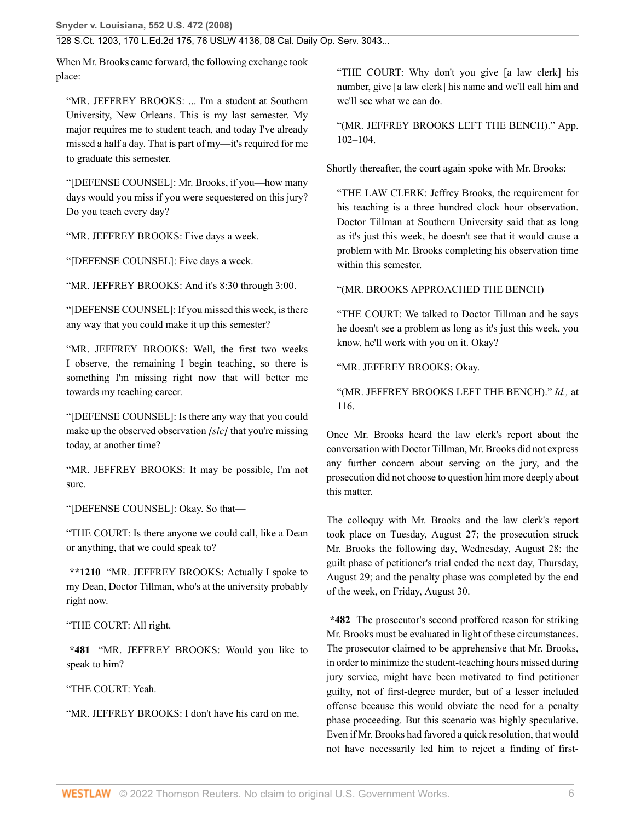**Snyder v. Louisiana, 552 U.S. 472 (2008)**

128 S.Ct. 1203, 170 L.Ed.2d 175, 76 USLW 4136, 08 Cal. Daily Op. Serv. 3043...

When Mr. Brooks came forward, the following exchange took place:

"MR. JEFFREY BROOKS: ... I'm a student at Southern University, New Orleans. This is my last semester. My major requires me to student teach, and today I've already missed a half a day. That is part of my—it's required for me to graduate this semester.

"[DEFENSE COUNSEL]: Mr. Brooks, if you—how many days would you miss if you were sequestered on this jury? Do you teach every day?

"MR. JEFFREY BROOKS: Five days a week.

"[DEFENSE COUNSEL]: Five days a week.

"MR. JEFFREY BROOKS: And it's 8:30 through 3:00.

"[DEFENSE COUNSEL]: If you missed this week, is there any way that you could make it up this semester?

"MR. JEFFREY BROOKS: Well, the first two weeks I observe, the remaining I begin teaching, so there is something I'm missing right now that will better me towards my teaching career.

"[DEFENSE COUNSEL]: Is there any way that you could make up the observed observation *[sic]* that you're missing today, at another time?

"MR. JEFFREY BROOKS: It may be possible, I'm not sure.

"[DEFENSE COUNSEL]: Okay. So that—

"THE COURT: Is there anyone we could call, like a Dean or anything, that we could speak to?

**\*\*1210** "MR. JEFFREY BROOKS: Actually I spoke to my Dean, Doctor Tillman, who's at the university probably right now.

"THE COURT: All right.

**\*481** "MR. JEFFREY BROOKS: Would you like to speak to him?

"THE COURT: Yeah.

"MR. JEFFREY BROOKS: I don't have his card on me.

"THE COURT: Why don't you give [a law clerk] his number, give [a law clerk] his name and we'll call him and we'll see what we can do.

"(MR. JEFFREY BROOKS LEFT THE BENCH)." App. 102–104.

Shortly thereafter, the court again spoke with Mr. Brooks:

"THE LAW CLERK: Jeffrey Brooks, the requirement for his teaching is a three hundred clock hour observation. Doctor Tillman at Southern University said that as long as it's just this week, he doesn't see that it would cause a problem with Mr. Brooks completing his observation time within this semester.

"(MR. BROOKS APPROACHED THE BENCH)

"THE COURT: We talked to Doctor Tillman and he says he doesn't see a problem as long as it's just this week, you know, he'll work with you on it. Okay?

"MR. JEFFREY BROOKS: Okay.

"(MR. JEFFREY BROOKS LEFT THE BENCH)." *Id.,* at 116.

Once Mr. Brooks heard the law clerk's report about the conversation with Doctor Tillman, Mr. Brooks did not express any further concern about serving on the jury, and the prosecution did not choose to question him more deeply about this matter.

The colloquy with Mr. Brooks and the law clerk's report took place on Tuesday, August 27; the prosecution struck Mr. Brooks the following day, Wednesday, August 28; the guilt phase of petitioner's trial ended the next day, Thursday, August 29; and the penalty phase was completed by the end of the week, on Friday, August 30.

**\*482** The prosecutor's second proffered reason for striking Mr. Brooks must be evaluated in light of these circumstances. The prosecutor claimed to be apprehensive that Mr. Brooks, in order to minimize the student-teaching hours missed during jury service, might have been motivated to find petitioner guilty, not of first-degree murder, but of a lesser included offense because this would obviate the need for a penalty phase proceeding. But this scenario was highly speculative. Even if Mr. Brooks had favored a quick resolution, that would not have necessarily led him to reject a finding of first-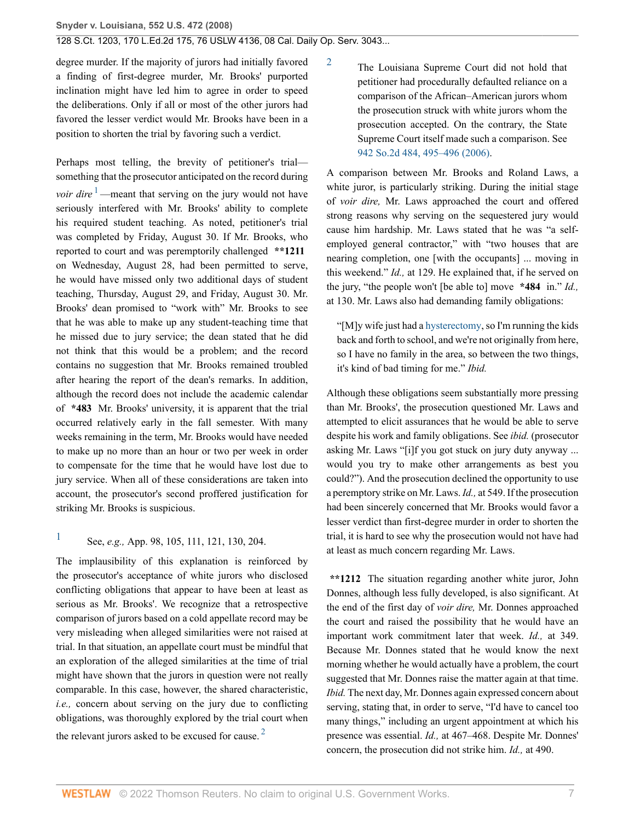<span id="page-6-2"></span>[2](#page-6-3)

degree murder. If the majority of jurors had initially favored a finding of first-degree murder, Mr. Brooks' purported inclination might have led him to agree in order to speed the deliberations. Only if all or most of the other jurors had favored the lesser verdict would Mr. Brooks have been in a position to shorten the trial by favoring such a verdict.

<span id="page-6-1"></span>Perhaps most telling, the brevity of petitioner's trial something that the prosecutor anticipated on the record during *voir dire* <sup>[1](#page-6-0)</sup>—meant that serving on the jury would not have seriously interfered with Mr. Brooks' ability to complete his required student teaching. As noted, petitioner's trial was completed by Friday, August 30. If Mr. Brooks, who reported to court and was peremptorily challenged **\*\*1211** on Wednesday, August 28, had been permitted to serve, he would have missed only two additional days of student teaching, Thursday, August 29, and Friday, August 30. Mr. Brooks' dean promised to "work with" Mr. Brooks to see that he was able to make up any student-teaching time that he missed due to jury service; the dean stated that he did not think that this would be a problem; and the record contains no suggestion that Mr. Brooks remained troubled after hearing the report of the dean's remarks. In addition, although the record does not include the academic calendar of **\*483** Mr. Brooks' university, it is apparent that the trial occurred relatively early in the fall semester. With many weeks remaining in the term, Mr. Brooks would have needed to make up no more than an hour or two per week in order to compensate for the time that he would have lost due to jury service. When all of these considerations are taken into account, the prosecutor's second proffered justification for striking Mr. Brooks is suspicious.

<span id="page-6-0"></span>[1](#page-6-1) See, *e.g.,* App. 98, 105, 111, 121, 130, 204.

The implausibility of this explanation is reinforced by the prosecutor's acceptance of white jurors who disclosed conflicting obligations that appear to have been at least as serious as Mr. Brooks'. We recognize that a retrospective comparison of jurors based on a cold appellate record may be very misleading when alleged similarities were not raised at trial. In that situation, an appellate court must be mindful that an exploration of the alleged similarities at the time of trial might have shown that the jurors in question were not really comparable. In this case, however, the shared characteristic, *i.e.,* concern about serving on the jury due to conflicting obligations, was thoroughly explored by the trial court when the relevant jurors asked to be excused for cause.<sup>[2](#page-6-2)</sup>

The Louisiana Supreme Court did not hold that petitioner had procedurally defaulted reliance on a comparison of the African–American jurors whom the prosecution struck with white jurors whom the prosecution accepted. On the contrary, the State Supreme Court itself made such a comparison. See [942 So.2d 484, 495–496 \(2006\)](http://www.westlaw.com/Link/Document/FullText?findType=Y&serNum=2010226191&pubNum=735&originatingDoc=I1e964189f59811dcb595a478de34cd72&refType=RP&fi=co_pp_sp_735_495&originationContext=document&vr=3.0&rs=cblt1.0&transitionType=DocumentItem&contextData=(sc.FindAndPrintPortal)#co_pp_sp_735_495).

A comparison between Mr. Brooks and Roland Laws, a white juror, is particularly striking. During the initial stage of *voir dire,* Mr. Laws approached the court and offered strong reasons why serving on the sequestered jury would cause him hardship. Mr. Laws stated that he was "a selfemployed general contractor," with "two houses that are nearing completion, one [with the occupants] ... moving in this weekend." *Id.,* at 129. He explained that, if he served on the jury, "the people won't [be able to] move **\*484** in." *Id.,* at 130. Mr. Laws also had demanding family obligations:

"[M]y wife just had a [hysterectomy](http://www.westlaw.com/Link/Document/FullText?entityType=mproc&entityId=Ibc5d07f4475411db9765f9243f53508a&originationContext=document&transitionType=DocumentItem&contextData=(sc.Default)&vr=3.0&rs=cblt1.0), so I'm running the kids back and forth to school, and we're not originally from here, so I have no family in the area, so between the two things, it's kind of bad timing for me." *Ibid.*

Although these obligations seem substantially more pressing than Mr. Brooks', the prosecution questioned Mr. Laws and attempted to elicit assurances that he would be able to serve despite his work and family obligations. See *ibid.* (prosecutor asking Mr. Laws "[i]f you got stuck on jury duty anyway ... would you try to make other arrangements as best you could?"). And the prosecution declined the opportunity to use a peremptory strike on Mr. Laws. *Id.,* at 549. If the prosecution had been sincerely concerned that Mr. Brooks would favor a lesser verdict than first-degree murder in order to shorten the trial, it is hard to see why the prosecution would not have had at least as much concern regarding Mr. Laws.

<span id="page-6-3"></span>**\*\*1212** The situation regarding another white juror, John Donnes, although less fully developed, is also significant. At the end of the first day of *voir dire,* Mr. Donnes approached the court and raised the possibility that he would have an important work commitment later that week. *Id.,* at 349. Because Mr. Donnes stated that he would know the next morning whether he would actually have a problem, the court suggested that Mr. Donnes raise the matter again at that time. *Ibid.* The next day, Mr. Donnes again expressed concern about serving, stating that, in order to serve, "I'd have to cancel too many things," including an urgent appointment at which his presence was essential. *Id.,* at 467–468. Despite Mr. Donnes' concern, the prosecution did not strike him. *Id.,* at 490.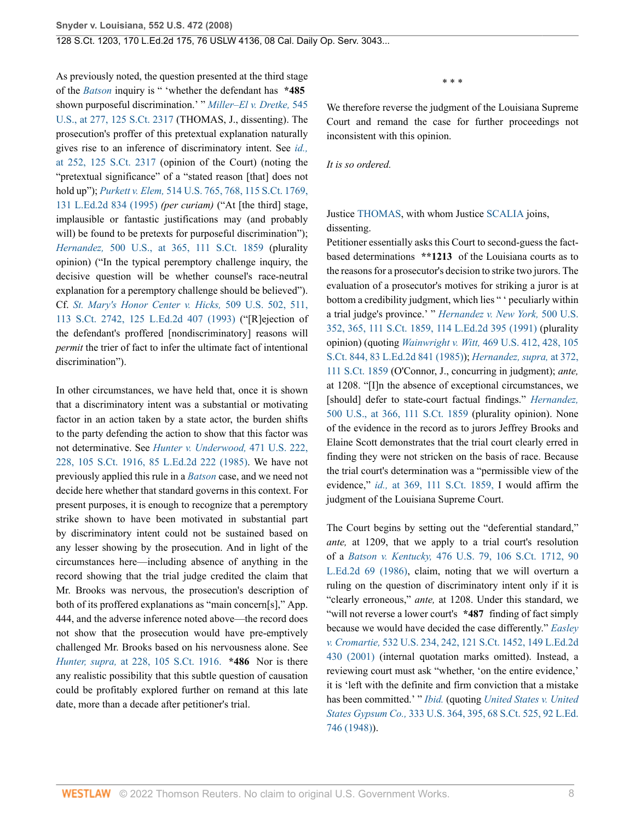As previously noted, the question presented at the third stage of the *[Batson](http://www.westlaw.com/Link/Document/FullText?findType=Y&serNum=1986122459&originatingDoc=I1e964189f59811dcb595a478de34cd72&refType=RP&originationContext=document&vr=3.0&rs=cblt1.0&transitionType=DocumentItem&contextData=(sc.FindAndPrintPortal))* inquiry is " 'whether the defendant has **\*485** shown purposeful discrimination.' " *[Miller–El v. Dretke,](http://www.westlaw.com/Link/Document/FullText?findType=Y&serNum=2006791870&pubNum=708&originatingDoc=I1e964189f59811dcb595a478de34cd72&refType=RP&originationContext=document&vr=3.0&rs=cblt1.0&transitionType=DocumentItem&contextData=(sc.FindAndPrintPortal))* 545 [U.S., at 277, 125 S.Ct. 2317](http://www.westlaw.com/Link/Document/FullText?findType=Y&serNum=2006791870&pubNum=708&originatingDoc=I1e964189f59811dcb595a478de34cd72&refType=RP&originationContext=document&vr=3.0&rs=cblt1.0&transitionType=DocumentItem&contextData=(sc.FindAndPrintPortal)) (THOMAS, J., dissenting). The prosecution's proffer of this pretextual explanation naturally gives rise to an inference of discriminatory intent. See *[id.,](http://www.westlaw.com/Link/Document/FullText?findType=Y&serNum=2006791870&pubNum=708&originatingDoc=I1e964189f59811dcb595a478de34cd72&refType=RP&originationContext=document&vr=3.0&rs=cblt1.0&transitionType=DocumentItem&contextData=(sc.FindAndPrintPortal))* [at 252, 125 S.Ct. 2317](http://www.westlaw.com/Link/Document/FullText?findType=Y&serNum=2006791870&pubNum=708&originatingDoc=I1e964189f59811dcb595a478de34cd72&refType=RP&originationContext=document&vr=3.0&rs=cblt1.0&transitionType=DocumentItem&contextData=(sc.FindAndPrintPortal)) (opinion of the Court) (noting the "pretextual significance" of a "stated reason [that] does not hold up"); *Purkett v. Elem,* [514 U.S. 765, 768, 115 S.Ct. 1769,](http://www.westlaw.com/Link/Document/FullText?findType=Y&serNum=1995107859&pubNum=708&originatingDoc=I1e964189f59811dcb595a478de34cd72&refType=RP&originationContext=document&vr=3.0&rs=cblt1.0&transitionType=DocumentItem&contextData=(sc.FindAndPrintPortal)) [131 L.Ed.2d 834 \(1995\)](http://www.westlaw.com/Link/Document/FullText?findType=Y&serNum=1995107859&pubNum=708&originatingDoc=I1e964189f59811dcb595a478de34cd72&refType=RP&originationContext=document&vr=3.0&rs=cblt1.0&transitionType=DocumentItem&contextData=(sc.FindAndPrintPortal)) *(per curiam)* ("At [the third] stage, implausible or fantastic justifications may (and probably will) be found to be pretexts for purposeful discrimination"); *Hernandez,* [500 U.S., at 365, 111 S.Ct. 1859](http://www.westlaw.com/Link/Document/FullText?findType=Y&serNum=1991097682&pubNum=708&originatingDoc=I1e964189f59811dcb595a478de34cd72&refType=RP&originationContext=document&vr=3.0&rs=cblt1.0&transitionType=DocumentItem&contextData=(sc.FindAndPrintPortal)) (plurality opinion) ("In the typical peremptory challenge inquiry, the decisive question will be whether counsel's race-neutral explanation for a peremptory challenge should be believed"). Cf. *[St. Mary's Honor Center v. Hicks,](http://www.westlaw.com/Link/Document/FullText?findType=Y&serNum=1993129848&pubNum=708&originatingDoc=I1e964189f59811dcb595a478de34cd72&refType=RP&originationContext=document&vr=3.0&rs=cblt1.0&transitionType=DocumentItem&contextData=(sc.FindAndPrintPortal))* 509 U.S. 502, 511, [113 S.Ct. 2742, 125 L.Ed.2d 407 \(1993\)](http://www.westlaw.com/Link/Document/FullText?findType=Y&serNum=1993129848&pubNum=708&originatingDoc=I1e964189f59811dcb595a478de34cd72&refType=RP&originationContext=document&vr=3.0&rs=cblt1.0&transitionType=DocumentItem&contextData=(sc.FindAndPrintPortal)) ("[R]ejection of the defendant's proffered [nondiscriminatory] reasons will *permit* the trier of fact to infer the ultimate fact of intentional discrimination").

In other circumstances, we have held that, once it is shown that a discriminatory intent was a substantial or motivating factor in an action taken by a state actor, the burden shifts to the party defending the action to show that this factor was not determinative. See *[Hunter v. Underwood,](http://www.westlaw.com/Link/Document/FullText?findType=Y&serNum=1985119228&pubNum=708&originatingDoc=I1e964189f59811dcb595a478de34cd72&refType=RP&originationContext=document&vr=3.0&rs=cblt1.0&transitionType=DocumentItem&contextData=(sc.FindAndPrintPortal))* 471 U.S. 222, [228, 105 S.Ct. 1916, 85 L.Ed.2d 222 \(1985\).](http://www.westlaw.com/Link/Document/FullText?findType=Y&serNum=1985119228&pubNum=708&originatingDoc=I1e964189f59811dcb595a478de34cd72&refType=RP&originationContext=document&vr=3.0&rs=cblt1.0&transitionType=DocumentItem&contextData=(sc.FindAndPrintPortal)) We have not previously applied this rule in a *[Batson](http://www.westlaw.com/Link/Document/FullText?findType=Y&serNum=1986122459&originatingDoc=I1e964189f59811dcb595a478de34cd72&refType=RP&originationContext=document&vr=3.0&rs=cblt1.0&transitionType=DocumentItem&contextData=(sc.FindAndPrintPortal))* case, and we need not decide here whether that standard governs in this context. For present purposes, it is enough to recognize that a peremptory strike shown to have been motivated in substantial part by discriminatory intent could not be sustained based on any lesser showing by the prosecution. And in light of the circumstances here—including absence of anything in the record showing that the trial judge credited the claim that Mr. Brooks was nervous, the prosecution's description of both of its proffered explanations as "main concern[s]," App. 444, and the adverse inference noted above—the record does not show that the prosecution would have pre-emptively challenged Mr. Brooks based on his nervousness alone. See *Hunter, supra,* [at 228, 105 S.Ct. 1916.](http://www.westlaw.com/Link/Document/FullText?findType=Y&serNum=1985119228&pubNum=708&originatingDoc=I1e964189f59811dcb595a478de34cd72&refType=RP&originationContext=document&vr=3.0&rs=cblt1.0&transitionType=DocumentItem&contextData=(sc.FindAndPrintPortal)) **\*486** Nor is there any realistic possibility that this subtle question of causation could be profitably explored further on remand at this late date, more than a decade after petitioner's trial.

\* \* \*

We therefore reverse the judgment of the Louisiana Supreme Court and remand the case for further proceedings not inconsistent with this opinion.

*It is so ordered.*

# Justice [THOMAS,](http://www.westlaw.com/Link/Document/FullText?findType=h&pubNum=176284&cite=0216654601&originatingDoc=I1e964189f59811dcb595a478de34cd72&refType=RQ&originationContext=document&vr=3.0&rs=cblt1.0&transitionType=DocumentItem&contextData=(sc.FindAndPrintPortal)) with whom Justice [SCALIA](http://www.westlaw.com/Link/Document/FullText?findType=h&pubNum=176284&cite=0254763301&originatingDoc=I1e964189f59811dcb595a478de34cd72&refType=RQ&originationContext=document&vr=3.0&rs=cblt1.0&transitionType=DocumentItem&contextData=(sc.FindAndPrintPortal)) joins, dissenting.

Petitioner essentially asks this Court to second-guess the factbased determinations **\*\*1213** of the Louisiana courts as to the reasons for a prosecutor's decision to strike two jurors. The evaluation of a prosecutor's motives for striking a juror is at bottom a credibility judgment, which lies " ' peculiarly within a trial judge's province.' " *[Hernandez v. New York,](http://www.westlaw.com/Link/Document/FullText?findType=Y&serNum=1991097682&pubNum=708&originatingDoc=I1e964189f59811dcb595a478de34cd72&refType=RP&originationContext=document&vr=3.0&rs=cblt1.0&transitionType=DocumentItem&contextData=(sc.FindAndPrintPortal))* 500 U.S. [352, 365, 111 S.Ct. 1859, 114 L.Ed.2d 395 \(1991\)](http://www.westlaw.com/Link/Document/FullText?findType=Y&serNum=1991097682&pubNum=708&originatingDoc=I1e964189f59811dcb595a478de34cd72&refType=RP&originationContext=document&vr=3.0&rs=cblt1.0&transitionType=DocumentItem&contextData=(sc.FindAndPrintPortal)) (plurality opinion) (quoting *Wainwright v. Witt,* [469 U.S. 412, 428, 105](http://www.westlaw.com/Link/Document/FullText?findType=Y&serNum=1985104035&pubNum=708&originatingDoc=I1e964189f59811dcb595a478de34cd72&refType=RP&originationContext=document&vr=3.0&rs=cblt1.0&transitionType=DocumentItem&contextData=(sc.FindAndPrintPortal)) [S.Ct. 844, 83 L.Ed.2d 841 \(1985\)](http://www.westlaw.com/Link/Document/FullText?findType=Y&serNum=1985104035&pubNum=708&originatingDoc=I1e964189f59811dcb595a478de34cd72&refType=RP&originationContext=document&vr=3.0&rs=cblt1.0&transitionType=DocumentItem&contextData=(sc.FindAndPrintPortal))); *[Hernandez, supra,](http://www.westlaw.com/Link/Document/FullText?findType=Y&serNum=1991097682&pubNum=708&originatingDoc=I1e964189f59811dcb595a478de34cd72&refType=RP&originationContext=document&vr=3.0&rs=cblt1.0&transitionType=DocumentItem&contextData=(sc.FindAndPrintPortal))* at 372, [111 S.Ct. 1859](http://www.westlaw.com/Link/Document/FullText?findType=Y&serNum=1991097682&pubNum=708&originatingDoc=I1e964189f59811dcb595a478de34cd72&refType=RP&originationContext=document&vr=3.0&rs=cblt1.0&transitionType=DocumentItem&contextData=(sc.FindAndPrintPortal)) (O'Connor, J., concurring in judgment); *ante,* at 1208. "[I]n the absence of exceptional circumstances, we [should] defer to state-court factual findings." *[Hernandez,](http://www.westlaw.com/Link/Document/FullText?findType=Y&serNum=1991097682&pubNum=708&originatingDoc=I1e964189f59811dcb595a478de34cd72&refType=RP&originationContext=document&vr=3.0&rs=cblt1.0&transitionType=DocumentItem&contextData=(sc.FindAndPrintPortal))* [500 U.S., at 366, 111 S.Ct. 1859](http://www.westlaw.com/Link/Document/FullText?findType=Y&serNum=1991097682&pubNum=708&originatingDoc=I1e964189f59811dcb595a478de34cd72&refType=RP&originationContext=document&vr=3.0&rs=cblt1.0&transitionType=DocumentItem&contextData=(sc.FindAndPrintPortal)) (plurality opinion). None of the evidence in the record as to jurors Jeffrey Brooks and Elaine Scott demonstrates that the trial court clearly erred in finding they were not stricken on the basis of race. Because the trial court's determination was a "permissible view of the evidence," *id.,* [at 369, 111 S.Ct. 1859,](http://www.westlaw.com/Link/Document/FullText?findType=Y&serNum=1991097682&pubNum=708&originatingDoc=I1e964189f59811dcb595a478de34cd72&refType=RP&originationContext=document&vr=3.0&rs=cblt1.0&transitionType=DocumentItem&contextData=(sc.FindAndPrintPortal)) I would affirm the judgment of the Louisiana Supreme Court.

The Court begins by setting out the "deferential standard," *ante,* at 1209, that we apply to a trial court's resolution of a *Batson v. Kentucky,* [476 U.S. 79, 106 S.Ct. 1712, 90](http://www.westlaw.com/Link/Document/FullText?findType=Y&serNum=1986122459&pubNum=708&originatingDoc=I1e964189f59811dcb595a478de34cd72&refType=RP&originationContext=document&vr=3.0&rs=cblt1.0&transitionType=DocumentItem&contextData=(sc.FindAndPrintPortal)) [L.Ed.2d 69 \(1986\),](http://www.westlaw.com/Link/Document/FullText?findType=Y&serNum=1986122459&pubNum=708&originatingDoc=I1e964189f59811dcb595a478de34cd72&refType=RP&originationContext=document&vr=3.0&rs=cblt1.0&transitionType=DocumentItem&contextData=(sc.FindAndPrintPortal)) claim, noting that we will overturn a ruling on the question of discriminatory intent only if it is "clearly erroneous," *ante,* at 1208. Under this standard, we "will not reverse a lower court's **\*487** finding of fact simply because we would have decided the case differently." *[Easley](http://www.westlaw.com/Link/Document/FullText?findType=Y&serNum=2001321643&pubNum=708&originatingDoc=I1e964189f59811dcb595a478de34cd72&refType=RP&originationContext=document&vr=3.0&rs=cblt1.0&transitionType=DocumentItem&contextData=(sc.FindAndPrintPortal)) v. Cromartie,* [532 U.S. 234, 242, 121 S.Ct. 1452, 149 L.Ed.2d](http://www.westlaw.com/Link/Document/FullText?findType=Y&serNum=2001321643&pubNum=708&originatingDoc=I1e964189f59811dcb595a478de34cd72&refType=RP&originationContext=document&vr=3.0&rs=cblt1.0&transitionType=DocumentItem&contextData=(sc.FindAndPrintPortal)) [430 \(2001\)](http://www.westlaw.com/Link/Document/FullText?findType=Y&serNum=2001321643&pubNum=708&originatingDoc=I1e964189f59811dcb595a478de34cd72&refType=RP&originationContext=document&vr=3.0&rs=cblt1.0&transitionType=DocumentItem&contextData=(sc.FindAndPrintPortal)) (internal quotation marks omitted). Instead, a reviewing court must ask "whether, 'on the entire evidence,' it is 'left with the definite and firm conviction that a mistake has been committed.' " *[Ibid.](http://www.westlaw.com/Link/Document/FullText?findType=Y&serNum=2001321643&originatingDoc=I1e964189f59811dcb595a478de34cd72&refType=RP&originationContext=document&vr=3.0&rs=cblt1.0&transitionType=DocumentItem&contextData=(sc.FindAndPrintPortal))* (quoting *[United States v. United](http://www.westlaw.com/Link/Document/FullText?findType=Y&serNum=1948119024&pubNum=708&originatingDoc=I1e964189f59811dcb595a478de34cd72&refType=RP&originationContext=document&vr=3.0&rs=cblt1.0&transitionType=DocumentItem&contextData=(sc.FindAndPrintPortal)) States Gypsum Co.,* [333 U.S. 364, 395, 68 S.Ct. 525, 92 L.Ed.](http://www.westlaw.com/Link/Document/FullText?findType=Y&serNum=1948119024&pubNum=708&originatingDoc=I1e964189f59811dcb595a478de34cd72&refType=RP&originationContext=document&vr=3.0&rs=cblt1.0&transitionType=DocumentItem&contextData=(sc.FindAndPrintPortal)) [746 \(1948\)](http://www.westlaw.com/Link/Document/FullText?findType=Y&serNum=1948119024&pubNum=708&originatingDoc=I1e964189f59811dcb595a478de34cd72&refType=RP&originationContext=document&vr=3.0&rs=cblt1.0&transitionType=DocumentItem&contextData=(sc.FindAndPrintPortal))).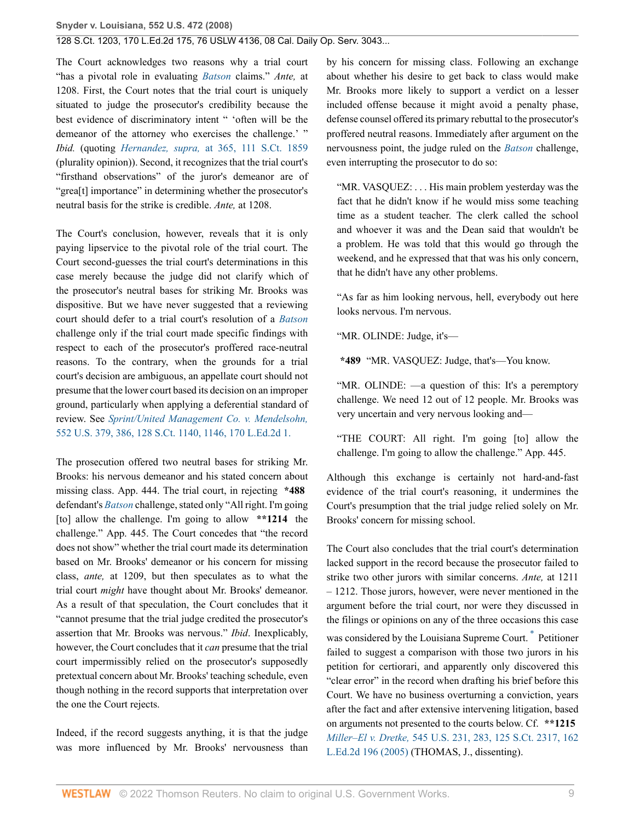The Court acknowledges two reasons why a trial court "has a pivotal role in evaluating *[Batson](http://www.westlaw.com/Link/Document/FullText?findType=Y&serNum=1986122459&originatingDoc=I1e964189f59811dcb595a478de34cd72&refType=RP&originationContext=document&vr=3.0&rs=cblt1.0&transitionType=DocumentItem&contextData=(sc.FindAndPrintPortal))* claims." *Ante,* at 1208. First, the Court notes that the trial court is uniquely situated to judge the prosecutor's credibility because the best evidence of discriminatory intent " 'often will be the demeanor of the attorney who exercises the challenge.' " *Ibid.* (quoting *Hernandez, supra,* [at 365, 111 S.Ct. 1859](http://www.westlaw.com/Link/Document/FullText?findType=Y&serNum=1991097682&pubNum=708&originatingDoc=I1e964189f59811dcb595a478de34cd72&refType=RP&originationContext=document&vr=3.0&rs=cblt1.0&transitionType=DocumentItem&contextData=(sc.FindAndPrintPortal)) (plurality opinion)). Second, it recognizes that the trial court's "firsthand observations" of the juror's demeanor are of "grea[t] importance" in determining whether the prosecutor's neutral basis for the strike is credible. *Ante,* at 1208.

The Court's conclusion, however, reveals that it is only paying lipservice to the pivotal role of the trial court. The Court second-guesses the trial court's determinations in this case merely because the judge did not clarify which of the prosecutor's neutral bases for striking Mr. Brooks was dispositive. But we have never suggested that a reviewing court should defer to a trial court's resolution of a *[Batson](http://www.westlaw.com/Link/Document/FullText?findType=Y&serNum=1986122459&originatingDoc=I1e964189f59811dcb595a478de34cd72&refType=RP&originationContext=document&vr=3.0&rs=cblt1.0&transitionType=DocumentItem&contextData=(sc.FindAndPrintPortal))* challenge only if the trial court made specific findings with respect to each of the prosecutor's proffered race-neutral reasons. To the contrary, when the grounds for a trial court's decision are ambiguous, an appellate court should not presume that the lower court based its decision on an improper ground, particularly when applying a deferential standard of review. See *[Sprint/United Management Co. v. Mendelsohn,](http://www.westlaw.com/Link/Document/FullText?findType=Y&serNum=2015331889&pubNum=708&originatingDoc=I1e964189f59811dcb595a478de34cd72&refType=RP&fi=co_pp_sp_708_1146&originationContext=document&vr=3.0&rs=cblt1.0&transitionType=DocumentItem&contextData=(sc.FindAndPrintPortal)#co_pp_sp_708_1146)* [552 U.S. 379, 386, 128 S.Ct. 1140, 1146, 170 L.Ed.2d 1.](http://www.westlaw.com/Link/Document/FullText?findType=Y&serNum=2015331889&pubNum=708&originatingDoc=I1e964189f59811dcb595a478de34cd72&refType=RP&fi=co_pp_sp_708_1146&originationContext=document&vr=3.0&rs=cblt1.0&transitionType=DocumentItem&contextData=(sc.FindAndPrintPortal)#co_pp_sp_708_1146)

The prosecution offered two neutral bases for striking Mr. Brooks: his nervous demeanor and his stated concern about missing class. App. 444. The trial court, in rejecting **\*488** defendant's *[Batson](http://www.westlaw.com/Link/Document/FullText?findType=Y&serNum=1986122459&originatingDoc=I1e964189f59811dcb595a478de34cd72&refType=RP&originationContext=document&vr=3.0&rs=cblt1.0&transitionType=DocumentItem&contextData=(sc.FindAndPrintPortal))* challenge, stated only "All right. I'm going [to] allow the challenge. I'm going to allow **\*\*1214** the challenge." App. 445. The Court concedes that "the record does not show" whether the trial court made its determination based on Mr. Brooks' demeanor or his concern for missing class, *ante,* at 1209, but then speculates as to what the trial court *might* have thought about Mr. Brooks' demeanor. As a result of that speculation, the Court concludes that it "cannot presume that the trial judge credited the prosecutor's assertion that Mr. Brooks was nervous." *Ibid*. Inexplicably, however, the Court concludes that it *can* presume that the trial court impermissibly relied on the prosecutor's supposedly pretextual concern about Mr. Brooks' teaching schedule, even though nothing in the record supports that interpretation over the one the Court rejects.

Indeed, if the record suggests anything, it is that the judge was more influenced by Mr. Brooks' nervousness than by his concern for missing class. Following an exchange about whether his desire to get back to class would make Mr. Brooks more likely to support a verdict on a lesser included offense because it might avoid a penalty phase, defense counsel offered its primary rebuttal to the prosecutor's proffered neutral reasons. Immediately after argument on the nervousness point, the judge ruled on the *[Batson](http://www.westlaw.com/Link/Document/FullText?findType=Y&serNum=1986122459&originatingDoc=I1e964189f59811dcb595a478de34cd72&refType=RP&originationContext=document&vr=3.0&rs=cblt1.0&transitionType=DocumentItem&contextData=(sc.FindAndPrintPortal))* challenge, even interrupting the prosecutor to do so:

"MR. VASQUEZ: . . . His main problem yesterday was the fact that he didn't know if he would miss some teaching time as a student teacher. The clerk called the school and whoever it was and the Dean said that wouldn't be a problem. He was told that this would go through the weekend, and he expressed that that was his only concern, that he didn't have any other problems.

"As far as him looking nervous, hell, everybody out here looks nervous. I'm nervous.

"MR. OLINDE: Judge, it's—

**\*489** "MR. VASQUEZ: Judge, that's—You know.

"MR. OLINDE: —a question of this: It's a peremptory challenge. We need 12 out of 12 people. Mr. Brooks was very uncertain and very nervous looking and—

"THE COURT: All right. I'm going [to] allow the challenge. I'm going to allow the challenge." App. 445.

Although this exchange is certainly not hard-and-fast evidence of the trial court's reasoning, it undermines the Court's presumption that the trial judge relied solely on Mr. Brooks' concern for missing school.

<span id="page-8-0"></span>The Court also concludes that the trial court's determination lacked support in the record because the prosecutor failed to strike two other jurors with similar concerns. *Ante,* at 1211 – 1212. Those jurors, however, were never mentioned in the argument before the trial court, nor were they discussed in the filings or opinions on any of the three occasions this case was considered by the Louisiana Supreme Court. [\\*](#page-9-0) Petitioner failed to suggest a comparison with those two jurors in his petition for certiorari, and apparently only discovered this "clear error" in the record when drafting his brief before this Court. We have no business overturning a conviction, years after the fact and after extensive intervening litigation, based on arguments not presented to the courts below. Cf. **\*\*1215** *Miller–El v. Dretke,* [545 U.S. 231, 283, 125 S.Ct. 2317, 162](http://www.westlaw.com/Link/Document/FullText?findType=Y&serNum=2006791870&pubNum=708&originatingDoc=I1e964189f59811dcb595a478de34cd72&refType=RP&originationContext=document&vr=3.0&rs=cblt1.0&transitionType=DocumentItem&contextData=(sc.FindAndPrintPortal)) [L.Ed.2d 196 \(2005\)](http://www.westlaw.com/Link/Document/FullText?findType=Y&serNum=2006791870&pubNum=708&originatingDoc=I1e964189f59811dcb595a478de34cd72&refType=RP&originationContext=document&vr=3.0&rs=cblt1.0&transitionType=DocumentItem&contextData=(sc.FindAndPrintPortal)) (THOMAS, J., dissenting).